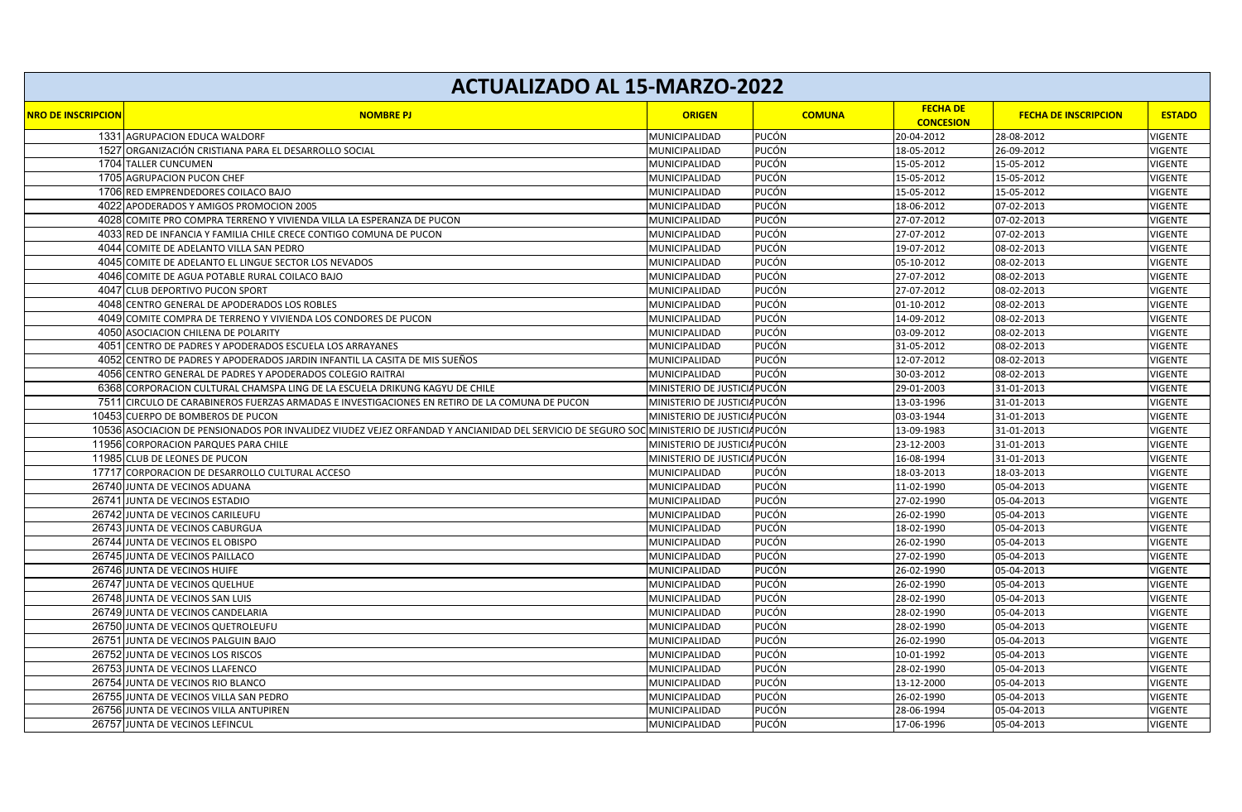|                           | <b>ACTUALIZADO AL 15-MARZO-2022</b>                                                                                                     |                              |               |                                     |                             |                |
|---------------------------|-----------------------------------------------------------------------------------------------------------------------------------------|------------------------------|---------------|-------------------------------------|-----------------------------|----------------|
| <b>NRO DE INSCRIPCION</b> | <b>NOMBRE PJ</b>                                                                                                                        | <b>ORIGEN</b>                | <b>COMUNA</b> | <b>FECHA DE</b><br><b>CONCESION</b> | <b>FECHA DE INSCRIPCION</b> | <b>ESTADO</b>  |
|                           | 1331 AGRUPACION EDUCA WALDORF                                                                                                           | MUNICIPALIDAD                | <b>PUCÓN</b>  | 20-04-2012                          | 28-08-2012                  | <b>VIGENTE</b> |
|                           | 1527 ORGANIZACIÓN CRISTIANA PARA EL DESARROLLO SOCIAL                                                                                   | MUNICIPALIDAD                | <b>PUCÓN</b>  | 18-05-2012                          | 26-09-2012                  | <b>VIGENTE</b> |
|                           | 1704 TALLER CUNCUMEN                                                                                                                    | MUNICIPALIDAD                | <b>PUCÓN</b>  | 15-05-2012                          | 15-05-2012                  | <b>VIGENTE</b> |
|                           | 1705 AGRUPACION PUCON CHEF                                                                                                              | MUNICIPALIDAD                | <b>PUCÓN</b>  | 15-05-2012                          | 15-05-2012                  | <b>VIGENTE</b> |
|                           | 1706 RED EMPRENDEDORES COILACO BAJO                                                                                                     | MUNICIPALIDAD                | <b>PUCÓN</b>  | 15-05-2012                          | 15-05-2012                  | <b>VIGENTE</b> |
|                           | 4022 APODERADOS Y AMIGOS PROMOCION 2005                                                                                                 | MUNICIPALIDAD                | <b>PUCÓN</b>  | 18-06-2012                          | 07-02-2013                  | <b>VIGENTE</b> |
|                           | 4028 COMITE PRO COMPRA TERRENO Y VIVIENDA VILLA LA ESPERANZA DE PUCON                                                                   | MUNICIPALIDAD                | <b>PUCÓN</b>  | 27-07-2012                          | 07-02-2013                  | <b>VIGENTE</b> |
| 4033                      | RED DE INFANCIA Y FAMILIA CHILE CRECE CONTIGO COMUNA DE PUCON                                                                           | MUNICIPALIDAD                | <b>PUCÓN</b>  | 27-07-2012                          | 07-02-2013                  | VIGENTE        |
|                           | 4044 COMITE DE ADELANTO VILLA SAN PEDRO                                                                                                 | MUNICIPALIDAD                | <b>PUCÓN</b>  | 19-07-2012                          | 08-02-2013                  | <b>VIGENTE</b> |
|                           | 4045 COMITE DE ADELANTO EL LINGUE SECTOR LOS NEVADOS                                                                                    | MUNICIPALIDAD                | <b>PUCÓN</b>  | 05-10-2012                          | 08-02-2013                  | <b>VIGENTE</b> |
|                           | 4046 COMITE DE AGUA POTABLE RURAL COILACO BAJO                                                                                          | MUNICIPALIDAD                | <b>PUCÓN</b>  | 27-07-2012                          | 08-02-2013                  | <b>VIGENTE</b> |
| 4047                      | CLUB DEPORTIVO PUCON SPORT                                                                                                              | MUNICIPALIDAD                | <b>PUCÓN</b>  | 27-07-2012                          | 08-02-2013                  | <b>VIGENTE</b> |
|                           | 4048 CENTRO GENERAL DE APODERADOS LOS ROBLES                                                                                            | MUNICIPALIDAD                | <b>PUCÓN</b>  | 01-10-2012                          | 08-02-2013                  | <b>VIGENTE</b> |
| 4049                      | COMITE COMPRA DE TERRENO Y VIVIENDA LOS CONDORES DE PUCON                                                                               | MUNICIPALIDAD                | <b>PUCÓN</b>  | 14-09-2012                          | 08-02-2013                  | <b>VIGENTE</b> |
|                           | 4050 ASOCIACION CHILENA DE POLARITY                                                                                                     | MUNICIPALIDAD                | <b>PUCÓN</b>  | 03-09-2012                          | 08-02-2013                  | VIGENTE        |
| 4051                      | CENTRO DE PADRES Y APODERADOS ESCUELA LOS ARRAYANES                                                                                     | MUNICIPALIDAD                | <b>PUCÓN</b>  | 31-05-2012                          | 08-02-2013                  | <b>VIGENTE</b> |
|                           | 4052 CENTRO DE PADRES Y APODERADOS JARDIN INFANTIL LA CASITA DE MIS SUEÑOS                                                              | MUNICIPALIDAD                | <b>PUCÓN</b>  | 12-07-2012                          | 08-02-2013                  | <b>VIGENTE</b> |
| 4056                      | CENTRO GENERAL DE PADRES Y APODERADOS COLEGIO RAITRAI                                                                                   | MUNICIPALIDAD                | <b>PUCÓN</b>  | 30-03-2012                          | 08-02-2013                  | <b>VIGENTE</b> |
|                           | 6368 CORPORACION CULTURAL CHAMSPA LING DE LA ESCUELA DRIKUNG KAGYU DE CHILE                                                             | MINISTERIO DE JUSTICIA PUCÓN |               | 29-01-2003                          | 31-01-2013                  | <b>VIGENTE</b> |
| 7511                      | CIRCULO DE CARABINEROS FUERZAS ARMADAS E INVESTIGACIONES EN RETIRO DE LA COMUNA DE PUCON                                                | MINISTERIO DE JUSTICIA PUCÓN |               | 13-03-1996                          | 31-01-2013                  | <b>VIGENTE</b> |
|                           | 10453 CUERPO DE BOMBEROS DE PUCON                                                                                                       | MINISTERIO DE JUSTICIA PUCÓN |               | 03-03-1944                          | 31-01-2013                  | <b>VIGENTE</b> |
|                           | 10536 ASOCIACION DE PENSIONADOS POR INVALIDEZ VIUDEZ VEJEZ ORFANDAD Y ANCIANIDAD DEL SERVICIO DE SEGURO SOC MINISTERIO DE JUSTICIAPUCÓN |                              |               | 13-09-1983                          | 31-01-2013                  | VIGENTE        |
|                           | 11956 CORPORACION PARQUES PARA CHILE                                                                                                    | MINISTERIO DE JUSTICIA PUCÓN |               | 23-12-2003                          | 31-01-2013                  | <b>VIGENTE</b> |
|                           | 11985 CLUB DE LEONES DE PUCON                                                                                                           | MINISTERIO DE JUSTICIAPUCÓN  |               | 16-08-1994                          | 31-01-2013                  | <b>VIGENTE</b> |
|                           | 17717 CORPORACION DE DESARROLLO CULTURAL ACCESO                                                                                         | MUNICIPALIDAD                | <b>PUCÓN</b>  | 18-03-2013                          | 18-03-2013                  | <b>VIGENTE</b> |
|                           | 26740 JUNTA DE VECINOS ADUANA                                                                                                           | MUNICIPALIDAD                | <b>PUCÓN</b>  | 11-02-1990                          | 05-04-2013                  | <b>VIGENTE</b> |
|                           | 26741 JUNTA DE VECINOS ESTADIO                                                                                                          | MUNICIPALIDAD                | <b>PUCÓN</b>  | 27-02-1990                          | 05-04-2013                  | <b>VIGENTE</b> |
|                           | 26742 JUNTA DE VECINOS CARILEUFU                                                                                                        | MUNICIPALIDAD                | <b>PUCÓN</b>  | 26-02-1990                          | 05-04-2013                  | <b>VIGENTE</b> |
|                           | 26743 JUNTA DE VECINOS CABURGUA                                                                                                         | MUNICIPALIDAD                | <b>PUCÓN</b>  | 18-02-1990                          | 05-04-2013                  | VIGENTE        |
|                           | 26744 JUNTA DE VECINOS EL OBISPO                                                                                                        | MUNICIPALIDAD                | <b>PUCÓN</b>  | 26-02-1990                          | 05-04-2013                  | <b>VIGENTE</b> |
|                           | 26745 JUNTA DE VECINOS PAILLACO                                                                                                         | MUNICIPALIDAD                | <b>PUCÓN</b>  | 27-02-1990                          | 05-04-2013                  | <b>VIGENTE</b> |
|                           | 26746 JUNTA DE VECINOS HUIFE                                                                                                            | MUNICIPALIDAD                | <b>PUCÓN</b>  | 26-02-1990                          | 05-04-2013                  | <b>VIGENTE</b> |
|                           | 26747 JUNTA DE VECINOS QUELHUE                                                                                                          | MUNICIPALIDAD                | <b>PUCÓN</b>  | 26-02-1990                          | 05-04-2013                  | <b>VIGENTE</b> |
|                           | 26748 JUNTA DE VECINOS SAN LUIS                                                                                                         | MUNICIPALIDAD                | <b>PUCÓN</b>  | 28-02-1990                          | 05-04-2013                  | <b>VIGENTE</b> |
|                           | 26749 JUNTA DE VECINOS CANDELARIA                                                                                                       | MUNICIPALIDAD                | <b>PUCÓN</b>  | 28-02-1990                          | 05-04-2013                  | <b>VIGENTE</b> |
|                           | 26750 JUNTA DE VECINOS QUETROLEUFU                                                                                                      | MUNICIPALIDAD                | <b>PUCÓN</b>  | 28-02-1990                          | 05-04-2013                  | <b>VIGENTE</b> |
|                           | 26751 JUNTA DE VECINOS PALGUIN BAJO                                                                                                     | MUNICIPALIDAD                | <b>PUCÓN</b>  | 26-02-1990                          | 05-04-2013                  | <b>VIGENTE</b> |
|                           | 26752 JUNTA DE VECINOS LOS RISCOS                                                                                                       | MUNICIPALIDAD                | <b>PUCÓN</b>  | 10-01-1992                          | 05-04-2013                  | <b>VIGENTE</b> |
|                           | 26753 JUNTA DE VECINOS LLAFENCO                                                                                                         | MUNICIPALIDAD                | <b>PUCÓN</b>  | 28-02-1990                          | 05-04-2013                  | <b>VIGENTE</b> |
|                           | 26754 JUNTA DE VECINOS RIO BLANCO                                                                                                       | MUNICIPALIDAD                | <b>PUCÓN</b>  | 13-12-2000                          | 05-04-2013                  | <b>VIGENTE</b> |
|                           | 26755 JUNTA DE VECINOS VILLA SAN PEDRO                                                                                                  | MUNICIPALIDAD                | <b>PUCÓN</b>  | 26-02-1990                          | 05-04-2013                  | <b>VIGENTE</b> |
|                           | 26756 JUNTA DE VECINOS VILLA ANTUPIREN                                                                                                  | MUNICIPALIDAD                | <b>PUCÓN</b>  | 28-06-1994                          | 05-04-2013                  | VIGENTE        |
|                           | 26757 JUNTA DE VECINOS LEFINCUL                                                                                                         | MUNICIPALIDAD                | PUCÓN         | 17-06-1996                          | 05-04-2013                  | <b>VIGENTE</b> |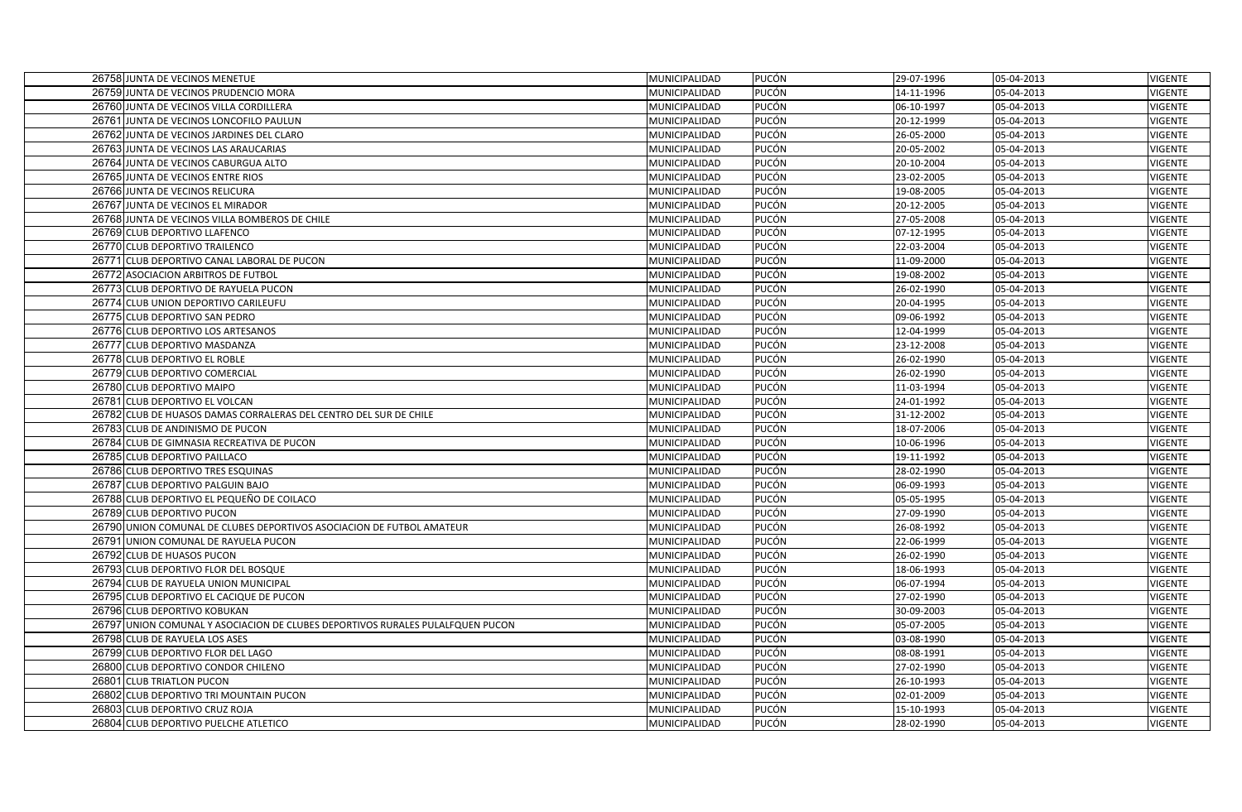|       | 26758 JUNTA DE VECINOS MENETUE                                                                                   | MUNICIPALIDAD                  | <b>PUCÓN</b>                 | 29-07-1996               | 05-04-2013               | <b>VIGENTE</b>            |
|-------|------------------------------------------------------------------------------------------------------------------|--------------------------------|------------------------------|--------------------------|--------------------------|---------------------------|
|       | 26759 JUNTA DE VECINOS PRUDENCIO MORA                                                                            | MUNICIPALIDAD                  | <b>PUCÓN</b>                 | 14-11-1996               | 05-04-2013               | <b>VIGENTE</b>            |
|       | 26760 JUNTA DE VECINOS VILLA CORDILLERA                                                                          | MUNICIPALIDAD                  | <b>PUCÓN</b>                 | 06-10-1997               | 05-04-2013               | VIGENTE                   |
|       | 26761 JUNTA DE VECINOS LONCOFILO PAULUN                                                                          | MUNICIPALIDAD                  | <b>PUCÓN</b>                 | 20-12-1999               | 05-04-2013               | <b>VIGENTE</b>            |
|       | 26762 JUNTA DE VECINOS JARDINES DEL CLARO                                                                        | MUNICIPALIDAD                  | <b>PUCÓN</b>                 | 26-05-2000               | 05-04-2013               | VIGENTE                   |
|       | 26763 JUNTA DE VECINOS LAS ARAUCARIAS                                                                            | MUNICIPALIDAD                  | PUCÓN                        | 20-05-2002               | 05-04-2013               | <b>VIGENTE</b>            |
|       | 26764 JUNTA DE VECINOS CABURGUA ALTO                                                                             | MUNICIPALIDAD                  | <b>PUCÓN</b>                 | 20-10-2004               | 05-04-2013               | VIGENTE                   |
|       | 26765 JUNTA DE VECINOS ENTRE RIOS                                                                                | MUNICIPALIDAD                  | <b>PUCÓN</b>                 | 23-02-2005               | 05-04-2013               | <b>VIGENTE</b>            |
|       | 26766 JUNTA DE VECINOS RELICURA                                                                                  | MUNICIPALIDAD                  | <b>PUCÓN</b>                 | 19-08-2005               | 05-04-2013               | VIGENTE                   |
|       | 26767 JUNTA DE VECINOS EL MIRADOR                                                                                | MUNICIPALIDAD                  | <b>PUCÓN</b>                 | 20-12-2005               | 05-04-2013               | <b>VIGENTE</b>            |
|       | 26768 JUNTA DE VECINOS VILLA BOMBEROS DE CHILE                                                                   | MUNICIPALIDAD                  | <b>PUCÓN</b>                 | 27-05-2008               | 05-04-2013               | VIGENTE                   |
|       | 26769 CLUB DEPORTIVO LLAFENCO                                                                                    | MUNICIPALIDAD                  | PUCÓN                        | 07-12-1995               | 05-04-2013               | <b>VIGENTE</b>            |
|       | 26770 CLUB DEPORTIVO TRAILENCO                                                                                   | MUNICIPALIDAD                  | <b>PUCÓN</b>                 | 22-03-2004               | 05-04-2013               | <b>VIGENTE</b>            |
|       | 26771 CLUB DEPORTIVO CANAL LABORAL DE PUCON                                                                      | MUNICIPALIDAD                  | <b>PUCÓN</b>                 | 11-09-2000               | 05-04-2013               | <b>VIGENTE</b>            |
|       | 26772 ASOCIACION ARBITROS DE FUTBOL                                                                              | MUNICIPALIDAD                  | <b>PUCÓN</b>                 | 19-08-2002               | 05-04-2013               | VIGENTE                   |
|       | 26773 CLUB DEPORTIVO DE RAYUELA PUCON                                                                            | MUNICIPALIDAD                  | <b>PUCÓN</b>                 | 26-02-1990               | 05-04-2013               | <b>VIGENTE</b>            |
|       | 26774 CLUB UNION DEPORTIVO CARILEUFU                                                                             | MUNICIPALIDAD                  | <b>PUCÓN</b>                 | 20-04-1995               | 05-04-2013               | VIGENTE                   |
|       | 26775 CLUB DEPORTIVO SAN PEDRO                                                                                   | MUNICIPALIDAD                  | <b>PUCÓN</b>                 | 09-06-1992               | 05-04-2013               | <b>VIGENTE</b>            |
|       | 26776 CLUB DEPORTIVO LOS ARTESANOS                                                                               | MUNICIPALIDAD                  | <b>PUCÓN</b>                 | 12-04-1999               | 05-04-2013               | VIGENTE                   |
|       | 26777 CLUB DEPORTIVO MASDANZA                                                                                    | MUNICIPALIDAD                  | <b>PUCÓN</b>                 | 23-12-2008               | 05-04-2013               | VIGENTE                   |
|       | 26778 CLUB DEPORTIVO EL ROBLE                                                                                    | MUNICIPALIDAD                  | <b>PUCÓN</b>                 | 26-02-1990               | 05-04-2013               | VIGENTE                   |
|       | 26779 CLUB DEPORTIVO COMERCIAL                                                                                   | MUNICIPALIDAD                  | <b>PUCÓN</b>                 | 26-02-1990               | 05-04-2013               | <b>VIGENTE</b>            |
|       | 26780 CLUB DEPORTIVO MAIPO                                                                                       | MUNICIPALIDAD                  | <b>PUCÓN</b>                 | 11-03-1994               | 05-04-2013               | <b>VIGENTE</b>            |
|       | 26781 CLUB DEPORTIVO EL VOLCAN                                                                                   | MUNICIPALIDAD                  | <b>PUCÓN</b>                 | 24-01-1992               | 05-04-2013               | <b>VIGENTE</b>            |
|       | 26782 CLUB DE HUASOS DAMAS CORRALERAS DEL CENTRO DEL SUR DE CHILE                                                | MUNICIPALIDAD                  | <b>PUCÓN</b>                 | 31-12-2002               | 05-04-2013               | <b>VIGENTE</b>            |
|       | 26783 CLUB DE ANDINISMO DE PUCON                                                                                 | MUNICIPALIDAD                  | <b>PUCÓN</b>                 | 18-07-2006               | 05-04-2013               | <b>VIGENTE</b>            |
|       | 26784 CLUB DE GIMNASIA RECREATIVA DE PUCON                                                                       | MUNICIPALIDAD                  | <b>PUCÓN</b>                 | 10-06-1996               | 05-04-2013               | <b>VIGENTE</b>            |
|       | 26785 CLUB DEPORTIVO PAILLACO                                                                                    | MUNICIPALIDAD                  | <b>PUCÓN</b>                 | 19-11-1992               | 05-04-2013               | VIGENTE                   |
|       | 26786 CLUB DEPORTIVO TRES ESQUINAS                                                                               | MUNICIPALIDAD                  | <b>PUCÓN</b>                 | 28-02-1990               | 05-04-2013               | <b>VIGENTE</b>            |
|       | 26787 CLUB DEPORTIVO PALGUIN BAJO                                                                                | MUNICIPALIDAD                  | <b>PUCÓN</b>                 | 06-09-1993               | 05-04-2013               | VIGENTE                   |
|       | 26788 CLUB DEPORTIVO EL PEQUEÑO DE COILACO                                                                       | MUNICIPALIDAD                  | <b>PUCÓN</b>                 | 05-05-1995               | 05-04-2013               | VIGENTE                   |
|       | 26789 CLUB DEPORTIVO PUCON                                                                                       | MUNICIPALIDAD                  | <b>PUCÓN</b>                 | 27-09-1990               | 05-04-2013               | <b>VIGENTE</b>            |
|       | 26790 UNION COMUNAL DE CLUBES DEPORTIVOS ASOCIACION DE FUTBOL AMATEUR                                            | MUNICIPALIDAD                  | <b>PUCÓN</b>                 | 26-08-1992               | 05-04-2013               | <b>VIGENTE</b>            |
|       | 26791 UNION COMUNAL DE RAYUELA PUCON                                                                             | MUNICIPALIDAD                  | <b>PUCÓN</b>                 | 22-06-1999               | 05-04-2013               | VIGENTE                   |
|       | 26792 CLUB DE HUASOS PUCON                                                                                       | MUNICIPALIDAD                  | PUCÓN                        | 26-02-1990               | 05-04-2013               | VIGENTE                   |
|       | 26793 CLUB DEPORTIVO FLOR DEL BOSQUE                                                                             | MUNICIPALIDAD                  | <b>PUCÓN</b>                 | 18-06-1993               | 05-04-2013               | VIGENTE                   |
|       | 26794 CLUB DE RAYUELA UNION MUNICIPAL                                                                            | MUNICIPALIDAD                  | <b>PUCÓN</b>                 | 06-07-1994               | 05-04-2013               | <b>VIGENTE</b>            |
|       | 26795 CLUB DEPORTIVO EL CACIQUE DE PUCON<br>26796 CLUB DEPORTIVO KOBUKAN                                         | MUNICIPALIDAD                  | <b>PUCÓN</b><br><b>PUCÓN</b> | 27-02-1990               | 05-04-2013               | <b>VIGENTE</b>            |
|       |                                                                                                                  | MUNICIPALIDAD<br>MUNICIPALIDAD | PUCÓN                        | 30-09-2003<br>05-07-2005 | 05-04-2013<br>05-04-2013 | VIGENTE<br><b>VIGENTE</b> |
|       | 26797 UNION COMUNAL Y ASOCIACION DE CLUBES DEPORTIVOS RURALES PULALFQUEN PUCON<br>26798 CLUB DE RAYUELA LOS ASES | MUNICIPALIDAD                  | <b>PUCÓN</b>                 | 03-08-1990               | 05-04-2013               | VIGENTE                   |
|       | 26799 CLUB DEPORTIVO FLOR DEL LAGO                                                                               | MUNICIPALIDAD                  | PUCÓN                        | 08-08-1991               | 05-04-2013               | <b>VIGENTE</b>            |
|       | 26800 CLUB DEPORTIVO CONDOR CHILENO                                                                              | MUNICIPALIDAD                  | <b>PUCÓN</b>                 | 27-02-1990               | 05-04-2013               | <b>VIGENTE</b>            |
|       | 26801 CLUB TRIATLON PUCON                                                                                        | MUNICIPALIDAD                  | <b>PUCÓN</b>                 | 26-10-1993               | 05-04-2013               | VIGENTE                   |
|       | 26802 CLUB DEPORTIVO TRI MOUNTAIN PUCON                                                                          | MUNICIPALIDAD                  | PUCÓN                        | 02-01-2009               | 05-04-2013               | <b>VIGENTE</b>            |
| 26803 | <b>CLUB DEPORTIVO CRUZ ROJA</b>                                                                                  | MUNICIPALIDAD                  | <b>PUCÓN</b>                 | 15-10-1993               | 05-04-2013               | VIGENTE                   |
|       | 26804 CLUB DEPORTIVO PUELCHE ATLETICO                                                                            | MUNICIPALIDAD                  | <b>PUCÓN</b>                 | 28-02-1990               | 05-04-2013               | <b>VIGENTE</b>            |
|       |                                                                                                                  |                                |                              |                          |                          |                           |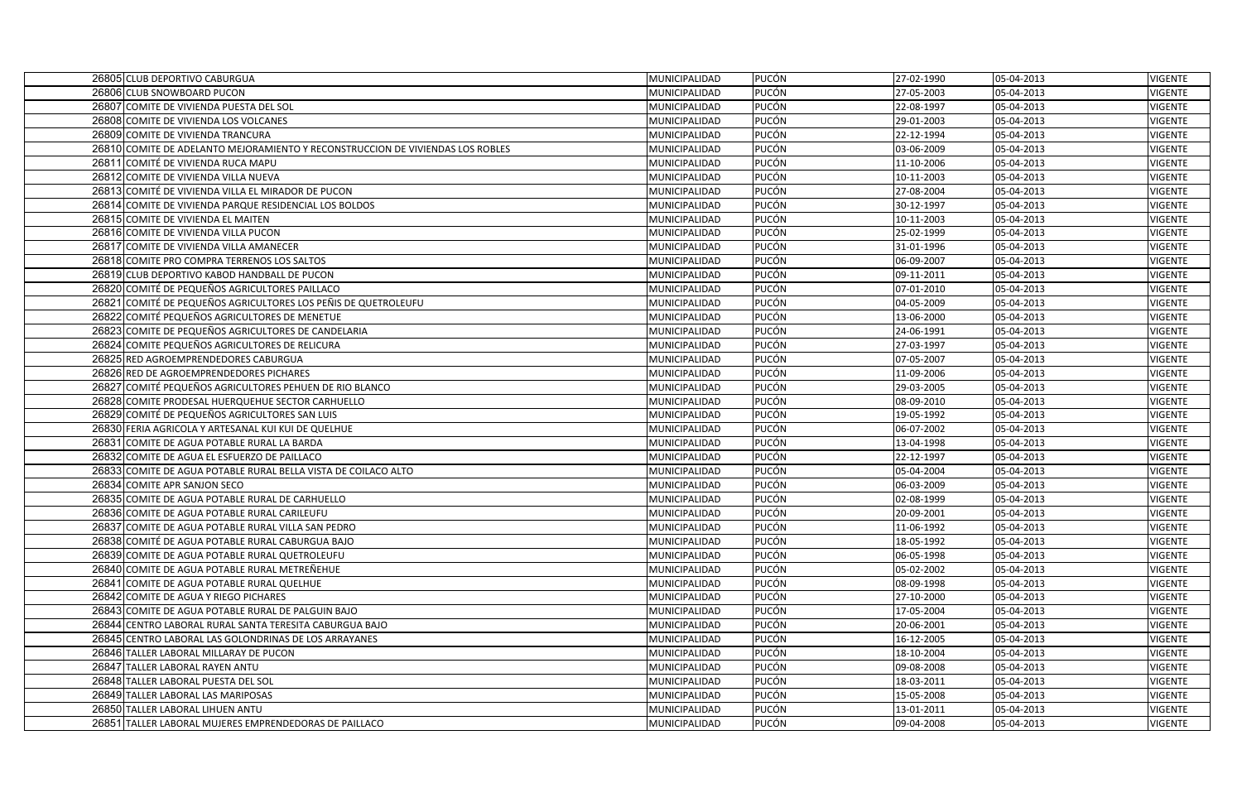| 26805 CLUB DEPORTIVO CABURGUA                                                  | MUNICIPALIDAD | <b>PUCÓN</b> | 27-02-1990 | 05-04-2013 | <b>VIGENTE</b> |
|--------------------------------------------------------------------------------|---------------|--------------|------------|------------|----------------|
| 26806 CLUB SNOWBOARD PUCON                                                     | MUNICIPALIDAD | <b>PUCÓN</b> | 27-05-2003 | 05-04-2013 | <b>VIGENTE</b> |
| 26807 COMITE DE VIVIENDA PUESTA DEL SOL                                        | MUNICIPALIDAD | <b>PUCÓN</b> | 22-08-1997 | 05-04-2013 | VIGENTE        |
| 26808 COMITE DE VIVIENDA LOS VOLCANES                                          | MUNICIPALIDAD | <b>PUCÓN</b> | 29-01-2003 | 05-04-2013 | <b>VIGENTE</b> |
| 26809 COMITE DE VIVIENDA TRANCURA                                              | MUNICIPALIDAD | <b>PUCÓN</b> | 22-12-1994 | 05-04-2013 | <b>VIGENTE</b> |
| 26810 COMITE DE ADELANTO MEJORAMIENTO Y RECONSTRUCCION DE VIVIENDAS LOS ROBLES | MUNICIPALIDAD | <b>PUCÓN</b> | 03-06-2009 | 05-04-2013 | <b>VIGENTE</b> |
| 26811 COMITÉ DE VIVIENDA RUCA MAPU                                             | MUNICIPALIDAD | PUCÓN        | 11-10-2006 | 05-04-2013 | <b>VIGENTE</b> |
| 26812 COMITE DE VIVIENDA VILLA NUEVA                                           | MUNICIPALIDAD | <b>PUCÓN</b> | 10-11-2003 | 05-04-2013 | <b>VIGENTE</b> |
| 26813 COMITÉ DE VIVIENDA VILLA EL MIRADOR DE PUCON                             | MUNICIPALIDAD | <b>PUCÓN</b> | 27-08-2004 | 05-04-2013 | <b>VIGENTE</b> |
| 26814 COMITE DE VIVIENDA PARQUE RESIDENCIAL LOS BOLDOS                         | MUNICIPALIDAD | <b>PUCÓN</b> | 30-12-1997 | 05-04-2013 | <b>VIGENTE</b> |
| 26815 COMITE DE VIVIENDA EL MAITEN                                             | MUNICIPALIDAD | <b>PUCÓN</b> | 10-11-2003 | 05-04-2013 | <b>VIGENTE</b> |
| 26816 COMITE DE VIVIENDA VILLA PUCON                                           | MUNICIPALIDAD | <b>PUCÓN</b> | 25-02-1999 | 05-04-2013 | <b>VIGENTE</b> |
| 26817 COMITE DE VIVIENDA VILLA AMANECER                                        | MUNICIPALIDAD | PUCÓN        | 31-01-1996 | 05-04-2013 | <b>VIGENTE</b> |
| 26818 COMITE PRO COMPRA TERRENOS LOS SALTOS                                    | MUNICIPALIDAD | <b>PUCÓN</b> | 06-09-2007 | 05-04-2013 | <b>VIGENTE</b> |
| 26819 CLUB DEPORTIVO KABOD HANDBALL DE PUCON                                   | MUNICIPALIDAD | <b>PUCÓN</b> | 09-11-2011 | 05-04-2013 | <b>VIGENTE</b> |
| 26820 COMITÉ DE PEQUEÑOS AGRICULTORES PAILLACO                                 | MUNICIPALIDAD | <b>PUCÓN</b> | 07-01-2010 | 05-04-2013 | <b>VIGENTE</b> |
| 26821 COMITÉ DE PEQUEÑOS AGRICULTORES LOS PEÑIS DE QUETROLEUFU                 | MUNICIPALIDAD | <b>PUCÓN</b> | 04-05-2009 | 05-04-2013 | <b>VIGENTE</b> |
| 26822 COMITÉ PEQUEÑOS AGRICULTORES DE MENETUE                                  | MUNICIPALIDAD | PUCÓN        | 13-06-2000 | 05-04-2013 | <b>VIGENTE</b> |
| 26823 COMITE DE PEQUEÑOS AGRICULTORES DE CANDELARIA                            | MUNICIPALIDAD | <b>PUCÓN</b> | 24-06-1991 | 05-04-2013 | <b>VIGENTE</b> |
| 26824 COMITE PEQUEÑOS AGRICULTORES DE RELICURA                                 | MUNICIPALIDAD | <b>PUCÓN</b> | 27-03-1997 | 05-04-2013 | <b>VIGENTE</b> |
| 26825 RED AGROEMPRENDEDORES CABURGUA                                           | MUNICIPALIDAD | <b>PUCÓN</b> | 07-05-2007 | 05-04-2013 | <b>VIGENTE</b> |
| 26826 RED DE AGROEMPRENDEDORES PICHARES                                        | MUNICIPALIDAD | <b>PUCÓN</b> | 11-09-2006 | 05-04-2013 | <b>VIGENTE</b> |
| 26827 COMITÉ PEQUEÑOS AGRICULTORES PEHUEN DE RIO BLANCO                        | MUNICIPALIDAD | <b>PUCÓN</b> | 29-03-2005 | 05-04-2013 | <b>VIGENTE</b> |
| 26828 COMITE PRODESAL HUERQUEHUE SECTOR CARHUELLO                              | MUNICIPALIDAD | <b>PUCÓN</b> | 08-09-2010 | 05-04-2013 | <b>VIGENTE</b> |
| 26829 COMITÉ DE PEQUEÑOS AGRICULTORES SAN LUIS                                 | MUNICIPALIDAD | <b>PUCÓN</b> | 19-05-1992 | 05-04-2013 | <b>VIGENTE</b> |
| 26830 FERIA AGRICOLA Y ARTESANAL KUI KUI DE QUELHUE                            | MUNICIPALIDAD | <b>PUCÓN</b> | 06-07-2002 | 05-04-2013 | <b>VIGENTE</b> |
| 26831 COMITE DE AGUA POTABLE RURAL LA BARDA                                    | MUNICIPALIDAD | <b>PUCÓN</b> | 13-04-1998 | 05-04-2013 | <b>VIGENTE</b> |
| 26832 COMITE DE AGUA EL ESFUERZO DE PAILLACO                                   | MUNICIPALIDAD | <b>PUCÓN</b> | 22-12-1997 | 05-04-2013 | <b>VIGENTE</b> |
| 26833 COMITE DE AGUA POTABLE RURAL BELLA VISTA DE COILACO ALTO                 | MUNICIPALIDAD | <b>PUCÓN</b> | 05-04-2004 | 05-04-2013 | <b>VIGENTE</b> |
| 26834 COMITE APR SANJON SECO                                                   | MUNICIPALIDAD | <b>PUCÓN</b> | 06-03-2009 | 05-04-2013 | VIGENTE        |
| 26835 COMITE DE AGUA POTABLE RURAL DE CARHUELLO                                | MUNICIPALIDAD | <b>PUCÓN</b> | 02-08-1999 | 05-04-2013 | <b>VIGENTE</b> |
| 26836 COMITE DE AGUA POTABLE RURAL CARILEUFU                                   | MUNICIPALIDAD | <b>PUCÓN</b> | 20-09-2001 | 05-04-2013 | <b>VIGENTE</b> |
| 26837 COMITE DE AGUA POTABLE RURAL VILLA SAN PEDRO                             | MUNICIPALIDAD | <b>PUCÓN</b> | 11-06-1992 | 05-04-2013 | <b>VIGENTE</b> |
| 26838 COMITÉ DE AGUA POTABLE RURAL CABURGUA BAJO                               | MUNICIPALIDAD | <b>PUCÓN</b> | 18-05-1992 | 05-04-2013 | VIGENTE        |
| 26839 COMITE DE AGUA POTABLE RURAL QUETROLEUFU                                 | MUNICIPALIDAD | <b>PUCÓN</b> | 06-05-1998 | 05-04-2013 | <b>VIGENTE</b> |
| 26840 COMITE DE AGUA POTABLE RURAL METREÑEHUE                                  | MUNICIPALIDAD | <b>PUCÓN</b> | 05-02-2002 | 05-04-2013 | <b>VIGENTE</b> |
| 26841 COMITE DE AGUA POTABLE RURAL QUELHUE                                     | MUNICIPALIDAD | <b>PUCÓN</b> | 08-09-1998 | 05-04-2013 | VIGENTE        |
| 26842 COMITE DE AGUA Y RIEGO PICHARES                                          | MUNICIPALIDAD | <b>PUCÓN</b> | 27-10-2000 | 05-04-2013 | <b>VIGENTE</b> |
| 26843 COMITE DE AGUA POTABLE RURAL DE PALGUIN BAJO                             | MUNICIPALIDAD | PUCÓN        | 17-05-2004 | 05-04-2013 | VIGENTE        |
| 26844 CENTRO LABORAL RURAL SANTA TERESITA CABURGUA BAJO                        | MUNICIPALIDAD | PUCÓN        | 20-06-2001 | 05-04-2013 | VIGENTE        |
| 26845 CENTRO LABORAL LAS GOLONDRINAS DE LOS ARRAYANES                          | MUNICIPALIDAD | <b>PUCÓN</b> | 16-12-2005 | 05-04-2013 | VIGENTE        |
| 26846 TALLER LABORAL MILLARAY DE PUCON                                         | MUNICIPALIDAD | <b>PUCÓN</b> | 18-10-2004 | 05-04-2013 | <b>VIGENTE</b> |
| 26847 TALLER LABORAL RAYEN ANTU                                                | MUNICIPALIDAD | <b>PUCÓN</b> | 09-08-2008 | 05-04-2013 | <b>VIGENTE</b> |
| 26848 TALLER LABORAL PUESTA DEL SOL                                            | MUNICIPALIDAD | PUCÓN        | 18-03-2011 | 05-04-2013 | <b>VIGENTE</b> |
| 26849 TALLER LABORAL LAS MARIPOSAS                                             | MUNICIPALIDAD | <b>PUCÓN</b> | 15-05-2008 | 05-04-2013 | VIGENTE        |
| 26850 TALLER LABORAL LIHUEN ANTU                                               | MUNICIPALIDAD | <b>PUCÓN</b> | 13-01-2011 | 05-04-2013 | <b>VIGENTE</b> |
| 26851 TALLER LABORAL MUJERES EMPRENDEDORAS DE PAILLACO                         | MUNICIPALIDAD | <b>PUCÓN</b> | 09-04-2008 | 05-04-2013 | <b>VIGENTE</b> |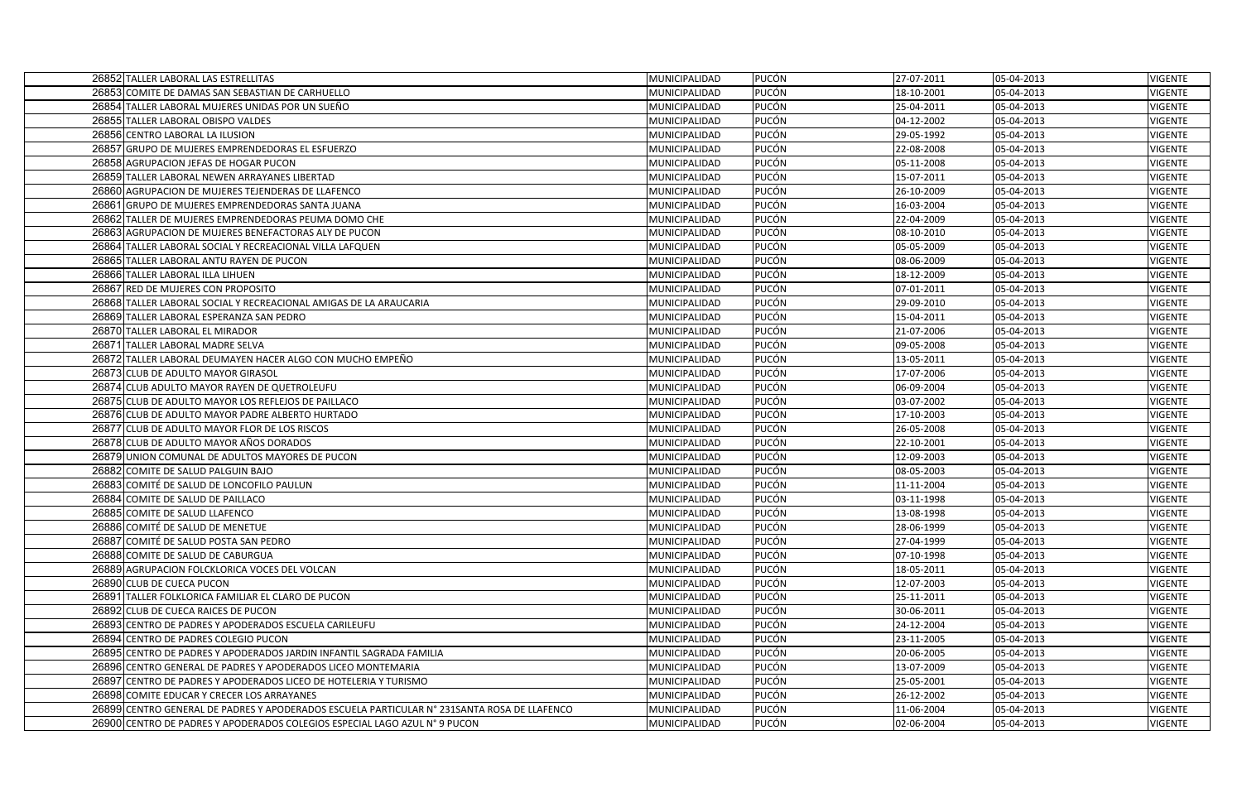| 26852 TALLER LABORAL LAS ESTRELLITAS                                                        | MUNICIPALIDAD | <b>PUCÓN</b> | 27-07-2011 | 05-04-2013 | <b>VIGENTE</b> |
|---------------------------------------------------------------------------------------------|---------------|--------------|------------|------------|----------------|
| 26853 COMITE DE DAMAS SAN SEBASTIAN DE CARHUELLO                                            | MUNICIPALIDAD | PUCÓN        | 18-10-2001 | 05-04-2013 | VIGENTE        |
| 26854 TALLER LABORAL MUJERES UNIDAS POR UN SUEÑO                                            | MUNICIPALIDAD | PUCÓN        | 25-04-2011 | 05-04-2013 | VIGENTE        |
| 26855 TALLER LABORAL OBISPO VALDES                                                          | MUNICIPALIDAD | PUCÓN        | 04-12-2002 | 05-04-2013 | <b>VIGENTE</b> |
| 26856 CENTRO LABORAL LA ILUSION                                                             | MUNICIPALIDAD | <b>PUCÓN</b> | 29-05-1992 | 05-04-2013 | <b>VIGENTE</b> |
| 26857 GRUPO DE MUJERES EMPRENDEDORAS EL ESFUERZO                                            | MUNICIPALIDAD | PUCÓN        | 22-08-2008 | 05-04-2013 | <b>VIGENTE</b> |
| 26858 AGRUPACION JEFAS DE HOGAR PUCON                                                       | MUNICIPALIDAD | PUCÓN        | 05-11-2008 | 05-04-2013 | <b>VIGENTE</b> |
| 26859 TALLER LABORAL NEWEN ARRAYANES LIBERTAD                                               | MUNICIPALIDAD | PUCÓN        | 15-07-2011 | 05-04-2013 | VIGENTE        |
| 26860 AGRUPACION DE MUJERES TEJENDERAS DE LLAFENCO                                          | MUNICIPALIDAD | PUCÓN        | 26-10-2009 | 05-04-2013 | VIGENTE        |
| 26861 GRUPO DE MUJERES EMPRENDEDORAS SANTA JUANA                                            | MUNICIPALIDAD | <b>PUCÓN</b> | 16-03-2004 | 05-04-2013 | <b>VIGENTE</b> |
| 26862 TALLER DE MUJERES EMPRENDEDORAS PEUMA DOMO CHE                                        | MUNICIPALIDAD | <b>PUCÓN</b> | 22-04-2009 | 05-04-2013 | <b>VIGENTE</b> |
| 26863 AGRUPACION DE MUJERES BENEFACTORAS ALY DE PUCON                                       | MUNICIPALIDAD | PUCÓN        | 08-10-2010 | 05-04-2013 | <b>VIGENTE</b> |
| 26864 TALLER LABORAL SOCIAL Y RECREACIONAL VILLA LAFQUEN                                    | MUNICIPALIDAD | <b>PUCÓN</b> | 05-05-2009 | 05-04-2013 | <b>VIGENTE</b> |
| 26865 TALLER LABORAL ANTU RAYEN DE PUCON                                                    | MUNICIPALIDAD | PUCÓN        | 08-06-2009 | 05-04-2013 | <b>VIGENTE</b> |
| 26866 TALLER LABORAL ILLA LIHUEN                                                            | MUNICIPALIDAD | PUCÓN        | 18-12-2009 | 05-04-2013 | VIGENTE        |
| 26867 RED DE MUJERES CON PROPOSITO                                                          | MUNICIPALIDAD | <b>PUCÓN</b> | 07-01-2011 | 05-04-2013 | <b>VIGENTE</b> |
| 26868 TALLER LABORAL SOCIAL Y RECREACIONAL AMIGAS DE LA ARAUCARIA                           | MUNICIPALIDAD | PUCÓN        | 29-09-2010 | 05-04-2013 | VIGENTE        |
| 26869 TALLER LABORAL ESPERANZA SAN PEDRO                                                    | MUNICIPALIDAD | PUCÓN        | 15-04-2011 | 05-04-2013 | <b>VIGENTE</b> |
| 26870 TALLER LABORAL EL MIRADOR                                                             | MUNICIPALIDAD | PUCÓN        | 21-07-2006 | 05-04-2013 | VIGENTE        |
| 26871 TALLER LABORAL MADRE SELVA                                                            | MUNICIPALIDAD | PUCÓN        | 09-05-2008 | 05-04-2013 | VIGENTE        |
| 26872 TALLER LABORAL DEUMAYEN HACER ALGO CON MUCHO EMPEÑO                                   | MUNICIPALIDAD | <b>PUCÓN</b> | 13-05-2011 | 05-04-2013 | <b>VIGENTE</b> |
| 26873 CLUB DE ADULTO MAYOR GIRASOL                                                          | MUNICIPALIDAD | PUCÓN        | 17-07-2006 | 05-04-2013 | <b>VIGENTE</b> |
| 26874 CLUB ADULTO MAYOR RAYEN DE QUETROLEUFU                                                | MUNICIPALIDAD | PUCÓN        | 06-09-2004 | 05-04-2013 | <b>VIGENTE</b> |
| 26875 CLUB DE ADULTO MAYOR LOS REFLEJOS DE PAILLACO                                         | MUNICIPALIDAD | PUCÓN        | 03-07-2002 | 05-04-2013 | <b>VIGENTE</b> |
| 26876 CLUB DE ADULTO MAYOR PADRE ALBERTO HURTADO                                            | MUNICIPALIDAD | PUCÓN        | 17-10-2003 | 05-04-2013 | <b>VIGENTE</b> |
| 26877 CLUB DE ADULTO MAYOR FLOR DE LOS RISCOS                                               | MUNICIPALIDAD | <b>PUCÓN</b> | 26-05-2008 | 05-04-2013 | <b>VIGENTE</b> |
| 26878 CLUB DE ADULTO MAYOR AÑOS DORADOS                                                     | MUNICIPALIDAD | <b>PUCÓN</b> | 22-10-2001 | 05-04-2013 | <b>VIGENTE</b> |
| 26879 UNION COMUNAL DE ADULTOS MAYORES DE PUCON                                             | MUNICIPALIDAD | <b>PUCÓN</b> | 12-09-2003 | 05-04-2013 | <b>VIGENTE</b> |
| 26882 COMITE DE SALUD PALGUIN BAJO                                                          | MUNICIPALIDAD | PUCÓN        | 08-05-2003 | 05-04-2013 | VIGENTE        |
| 26883 COMITÉ DE SALUD DE LONCOFILO PAULUN                                                   | MUNICIPALIDAD | PUCÓN        | 11-11-2004 | 05-04-2013 | VIGENTE        |
| 26884 COMITE DE SALUD DE PAILLACO                                                           | MUNICIPALIDAD | PUCÓN        | 03-11-1998 | 05-04-2013 | VIGENTE        |
| 26885 COMITE DE SALUD LLAFENCO                                                              | MUNICIPALIDAD | PUCÓN        | 13-08-1998 | 05-04-2013 | <b>VIGENTE</b> |
| 26886 COMITÉ DE SALUD DE MENETUE                                                            | MUNICIPALIDAD | PUCÓN        | 28-06-1999 | 05-04-2013 | <b>VIGENTE</b> |
| 26887 COMITÉ DE SALUD POSTA SAN PEDRO                                                       | MUNICIPALIDAD | PUCÓN        | 27-04-1999 | 05-04-2013 | <b>VIGENTE</b> |
| 26888 COMITE DE SALUD DE CABURGUA                                                           | MUNICIPALIDAD | PUCÓN        | 07-10-1998 | 05-04-2013 | VIGENTE        |
| 26889 AGRUPACION FOLCKLORICA VOCES DEL VOLCAN                                               | MUNICIPALIDAD | PUCÓN        | 18-05-2011 | 05-04-2013 | VIGENTE        |
| 26890 CLUB DE CUECA PUCON                                                                   | MUNICIPALIDAD | <b>PUCÓN</b> | 12-07-2003 | 05-04-2013 | VIGENTE        |
| 26891 TALLER FOLKLORICA FAMILIAR EL CLARO DE PUCON                                          | MUNICIPALIDAD | <b>PUCÓN</b> | 25-11-2011 | 05-04-2013 | <b>VIGENTE</b> |
| 26892 CLUB DE CUECA RAICES DE PUCON                                                         | MUNICIPALIDAD | PUCÓN        | 30-06-2011 | 05-04-2013 | <b>VIGENTE</b> |
| 26893 CENTRO DE PADRES Y APODERADOS ESCUELA CARILEUFU                                       | MUNICIPALIDAD | PUCÓN        | 24-12-2004 | 05-04-2013 | <b>VIGENTE</b> |
| 26894 CENTRO DE PADRES COLEGIO PUCON                                                        | MUNICIPALIDAD | PUCÓN        | 23-11-2005 | 05-04-2013 | VIGENTE        |
| 26895 CENTRO DE PADRES Y APODERADOS JARDIN INFANTIL SAGRADA FAMILIA                         | MUNICIPALIDAD | PUCÓN        | 20-06-2005 | 05-04-2013 | VIGENTE        |
| 26896 CENTRO GENERAL DE PADRES Y APODERADOS LICEO MONTEMARIA                                | MUNICIPALIDAD | <b>PUCÓN</b> | 13-07-2009 | 05-04-2013 | <b>VIGENTE</b> |
| 26897 CENTRO DE PADRES Y APODERADOS LICEO DE HOTELERIA Y TURISMO                            | MUNICIPALIDAD | PUCÓN        | 25-05-2001 | 05-04-2013 | <b>VIGENTE</b> |
| 26898 COMITE EDUCAR Y CRECER LOS ARRAYANES                                                  | MUNICIPALIDAD | PUCÓN        | 26-12-2002 | 05-04-2013 | VIGENTE        |
| 26899 CENTRO GENERAL DE PADRES Y APODERADOS ESCUELA PARTICULAR Nº 231SANTA ROSA DE LLAFENCO | MUNICIPALIDAD | PUCÓN        | 11-06-2004 | 05-04-2013 | VIGENTE        |
| 26900 CENTRO DE PADRES Y APODERADOS COLEGIOS ESPECIAL LAGO AZUL N° 9 PUCON                  | MUNICIPALIDAD | PUCÓN        | 02-06-2004 | 05-04-2013 | VIGENTE        |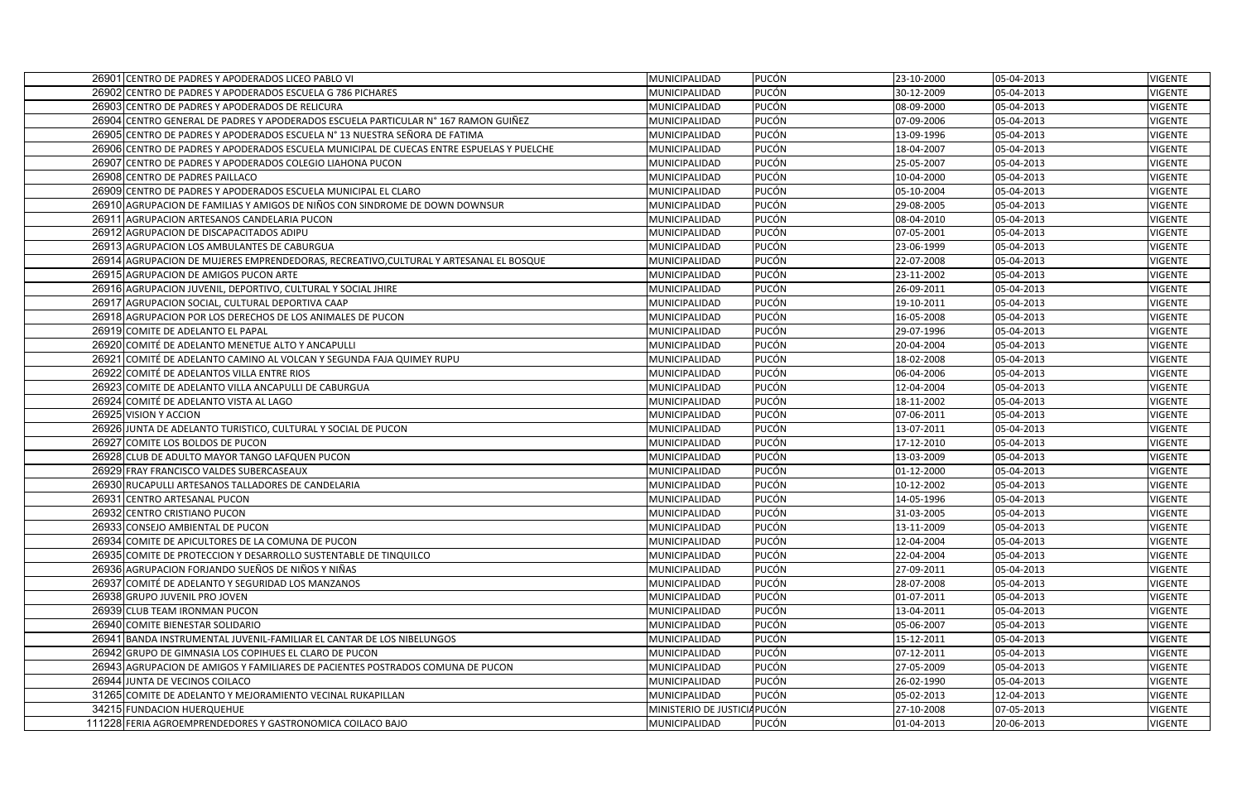| 26901 CENTRO DE PADRES Y APODERADOS LICEO PABLO VI                                       | <b>PUCÓN</b><br>MUNICIPALIDAD        | 23-10-2000 | 05-04-2013 | <b>VIGENTE</b> |
|------------------------------------------------------------------------------------------|--------------------------------------|------------|------------|----------------|
| 26902 CENTRO DE PADRES Y APODERADOS ESCUELA G 786 PICHARES                               | <b>PUCÓN</b><br><b>MUNICIPALIDAD</b> | 30-12-2009 | 05-04-2013 | <b>VIGENTE</b> |
| 26903 CENTRO DE PADRES Y APODERADOS DE RELICURA                                          | <b>PUCÓN</b><br>MUNICIPALIDAD        | 08-09-2000 | 05-04-2013 | VIGENTE        |
| 26904 CENTRO GENERAL DE PADRES Y APODERADOS ESCUELA PARTICULAR N° 167 RAMON GUIÑEZ       | <b>PUCÓN</b><br>MUNICIPALIDAD        | 07-09-2006 | 05-04-2013 | VIGENTE        |
| 26905 CENTRO DE PADRES Y APODERADOS ESCUELA Nº 13 NUESTRA SEÑORA DE FATIMA               | <b>PUCÓN</b><br>MUNICIPALIDAD        | 13-09-1996 | 05-04-2013 | VIGENTE        |
| 26906 CENTRO DE PADRES Y APODERADOS ESCUELA MUNICIPAL DE CUECAS ENTRE ESPUELAS Y PUELCHE | PUCÓN<br>MUNICIPALIDAD               | 18-04-2007 | 05-04-2013 | <b>VIGENTE</b> |
| 26907 CENTRO DE PADRES Y APODERADOS COLEGIO LIAHONA PUCON                                | <b>PUCÓN</b><br>MUNICIPALIDAD        | 25-05-2007 | 05-04-2013 | VIGENTE        |
| 26908 CENTRO DE PADRES PAILLACO                                                          | <b>PUCÓN</b><br>MUNICIPALIDAD        | 10-04-2000 | 05-04-2013 | <b>VIGENTE</b> |
| 26909 CENTRO DE PADRES Y APODERADOS ESCUELA MUNICIPAL EL CLARO                           | PUCÓN<br>MUNICIPALIDAD               | 05-10-2004 | 05-04-2013 | VIGENTE        |
| 26910 AGRUPACION DE FAMILIAS Y AMIGOS DE NIÑOS CON SINDROME DE DOWN DOWNSUR              | <b>PUCÓN</b><br>MUNICIPALIDAD        | 29-08-2005 | 05-04-2013 | <b>VIGENTE</b> |
| 26911 AGRUPACION ARTESANOS CANDELARIA PUCON                                              | <b>PUCÓN</b><br>MUNICIPALIDAD        | 08-04-2010 | 05-04-2013 | VIGENTE        |
| 26912 AGRUPACION DE DISCAPACITADOS ADIPU                                                 | <b>PUCÓN</b><br>MUNICIPALIDAD        | 07-05-2001 | 05-04-2013 | <b>VIGENTE</b> |
| 26913 AGRUPACION LOS AMBULANTES DE CABURGUA                                              | PUCÓN<br>MUNICIPALIDAD               | 23-06-1999 | 05-04-2013 | <b>VIGENTE</b> |
| 26914 AGRUPACION DE MUJERES EMPRENDEDORAS, RECREATIVO,CULTURAL Y ARTESANAL EL BOSQUE     | <b>PUCÓN</b><br>MUNICIPALIDAD        | 22-07-2008 | 05-04-2013 | VIGENTE        |
| 26915 AGRUPACION DE AMIGOS PUCON ARTE                                                    | <b>PUCÓN</b><br>MUNICIPALIDAD        | 23-11-2002 | 05-04-2013 | VIGENTE        |
| 26916 AGRUPACION JUVENIL, DEPORTIVO, CULTURAL Y SOCIAL JHIRE                             | <b>PUCÓN</b><br>MUNICIPALIDAD        | 26-09-2011 | 05-04-2013 | <b>VIGENTE</b> |
| 26917 AGRUPACION SOCIAL, CULTURAL DEPORTIVA CAAP                                         | <b>PUCÓN</b><br>MUNICIPALIDAD        | 19-10-2011 | 05-04-2013 | VIGENTE        |
| 26918 AGRUPACION POR LOS DERECHOS DE LOS ANIMALES DE PUCON                               | PUCÓN<br>MUNICIPALIDAD               | 16-05-2008 | 05-04-2013 | <b>VIGENTE</b> |
| 26919 COMITE DE ADELANTO EL PAPAL                                                        | PUCÓN<br>MUNICIPALIDAD               | 29-07-1996 | 05-04-2013 | VIGENTE        |
| 26920 COMITÉ DE ADELANTO MENETUE ALTO Y ANCAPULLI                                        | PUCÓN<br>MUNICIPALIDAD               | 20-04-2004 | 05-04-2013 | <b>VIGENTE</b> |
| 26921 COMITÉ DE ADELANTO CAMINO AL VOLCAN Y SEGUNDA FAJA QUIMEY RUPU                     | <b>PUCÓN</b><br>MUNICIPALIDAD        | 18-02-2008 | 05-04-2013 | <b>VIGENTE</b> |
| 26922 COMITÉ DE ADELANTOS VILLA ENTRE RIOS                                               | PUCÓN<br>MUNICIPALIDAD               | 06-04-2006 | 05-04-2013 | <b>VIGENTE</b> |
| 26923 COMITE DE ADELANTO VILLA ANCAPULLI DE CABURGUA                                     | <b>PUCÓN</b><br>MUNICIPALIDAD        | 12-04-2004 | 05-04-2013 | <b>VIGENTE</b> |
| 26924 COMITÉ DE ADELANTO VISTA AL LAGO                                                   | <b>PUCÓN</b><br>MUNICIPALIDAD        | 18-11-2002 | 05-04-2013 | <b>VIGENTE</b> |
| 26925 VISION Y ACCION                                                                    | <b>PUCÓN</b><br>MUNICIPALIDAD        | 07-06-2011 | 05-04-2013 | <b>VIGENTE</b> |
| 26926 JUNTA DE ADELANTO TURISTICO, CULTURAL Y SOCIAL DE PUCON                            | <b>PUCÓN</b><br>MUNICIPALIDAD        | 13-07-2011 | 05-04-2013 | <b>VIGENTE</b> |
| 26927 COMITE LOS BOLDOS DE PUCON                                                         | <b>PUCÓN</b><br>MUNICIPALIDAD        | 17-12-2010 | 05-04-2013 | <b>VIGENTE</b> |
| 26928 CLUB DE ADULTO MAYOR TANGO LAFQUEN PUCON                                           | <b>PUCÓN</b><br>MUNICIPALIDAD        | 13-03-2009 | 05-04-2013 | <b>VIGENTE</b> |
| 26929 FRAY FRANCISCO VALDES SUBERCASEAUX                                                 | <b>PUCÓN</b><br>MUNICIPALIDAD        | 01-12-2000 | 05-04-2013 | <b>VIGENTE</b> |
| 26930 RUCAPULLI ARTESANOS TALLADORES DE CANDELARIA                                       | <b>PUCÓN</b><br>MUNICIPALIDAD        | 10-12-2002 | 05-04-2013 | VIGENTE        |
| 26931 CENTRO ARTESANAL PUCON                                                             | PUCÓN<br>MUNICIPALIDAD               | 14-05-1996 | 05-04-2013 | <b>VIGENTE</b> |
| 26932 CENTRO CRISTIANO PUCON                                                             | <b>PUCÓN</b><br>MUNICIPALIDAD        | 31-03-2005 | 05-04-2013 | <b>VIGENTE</b> |
| 26933 CONSEJO AMBIENTAL DE PUCON                                                         | <b>PUCÓN</b><br>MUNICIPALIDAD        | 13-11-2009 | 05-04-2013 | <b>VIGENTE</b> |
| 26934 COMITE DE APICULTORES DE LA COMUNA DE PUCON                                        | PUCÓN<br>MUNICIPALIDAD               | 12-04-2004 | 05-04-2013 | <b>VIGENTE</b> |
| 26935 COMITE DE PROTECCION Y DESARROLLO SUSTENTABLE DE TINQUILCO                         | PUCÓN<br>MUNICIPALIDAD               | 22-04-2004 | 05-04-2013 | VIGENTE        |
| 26936 AGRUPACION FORJANDO SUEÑOS DE NIÑOS Y NIÑAS                                        | <b>PUCÓN</b><br>MUNICIPALIDAD        | 27-09-2011 | 05-04-2013 | VIGENTE        |
| 26937 COMITÉ DE ADELANTO Y SEGURIDAD LOS MANZANOS                                        | <b>PUCÓN</b><br>MUNICIPALIDAD        | 28-07-2008 | 05-04-2013 | <b>VIGENTE</b> |
| 26938 GRUPO JUVENIL PRO JOVEN                                                            | <b>PUCÓN</b><br>MUNICIPALIDAD        | 01-07-2011 | 05-04-2013 | <b>VIGENTE</b> |
| 26939 CLUB TEAM IRONMAN PUCON                                                            | <b>PUCÓN</b><br>MUNICIPALIDAD        | 13-04-2011 | 05-04-2013 | VIGENTE        |
| 26940 COMITE BIENESTAR SOLIDARIO                                                         | <b>PUCÓN</b><br>MUNICIPALIDAD        | 05-06-2007 | 05-04-2013 | <b>VIGENTE</b> |
| 26941 BANDA INSTRUMENTAL JUVENIL-FAMILIAR EL CANTAR DE LOS NIBELUNGOS                    | <b>PUCÓN</b><br>MUNICIPALIDAD        | 15-12-2011 | 05-04-2013 | <b>VIGENTE</b> |
| 26942 GRUPO DE GIMNASIA LOS COPIHUES EL CLARO DE PUCON                                   | PUCÓN<br>MUNICIPALIDAD               | 07-12-2011 | 05-04-2013 | <b>VIGENTE</b> |
| 26943 AGRUPACION DE AMIGOS Y FAMILIARES DE PACIENTES POSTRADOS COMUNA DE PUCON           | <b>PUCÓN</b><br>MUNICIPALIDAD        | 27-05-2009 | 05-04-2013 | <b>VIGENTE</b> |
| 26944 JUNTA DE VECINOS COILACO                                                           | <b>PUCÓN</b><br>MUNICIPALIDAD        | 26-02-1990 | 05-04-2013 | VIGENTE        |
| 31265 COMITE DE ADELANTO Y MEJORAMIENTO VECINAL RUKAPILLAN                               | <b>PUCÓN</b><br>MUNICIPALIDAD        | 05-02-2013 | 12-04-2013 | <b>VIGENTE</b> |
| 34215 FUNDACION HUERQUEHUE                                                               | MINISTERIO DE JUSTICIA PUCÓN         | 27-10-2008 | 07-05-2013 | VIGENTE        |
| 111228 FERIA AGROEMPRENDEDORES Y GASTRONOMICA COILACO BAJO                               | <b>PUCÓN</b><br>MUNICIPALIDAD        | 01-04-2013 | 20-06-2013 | <b>VIGENTE</b> |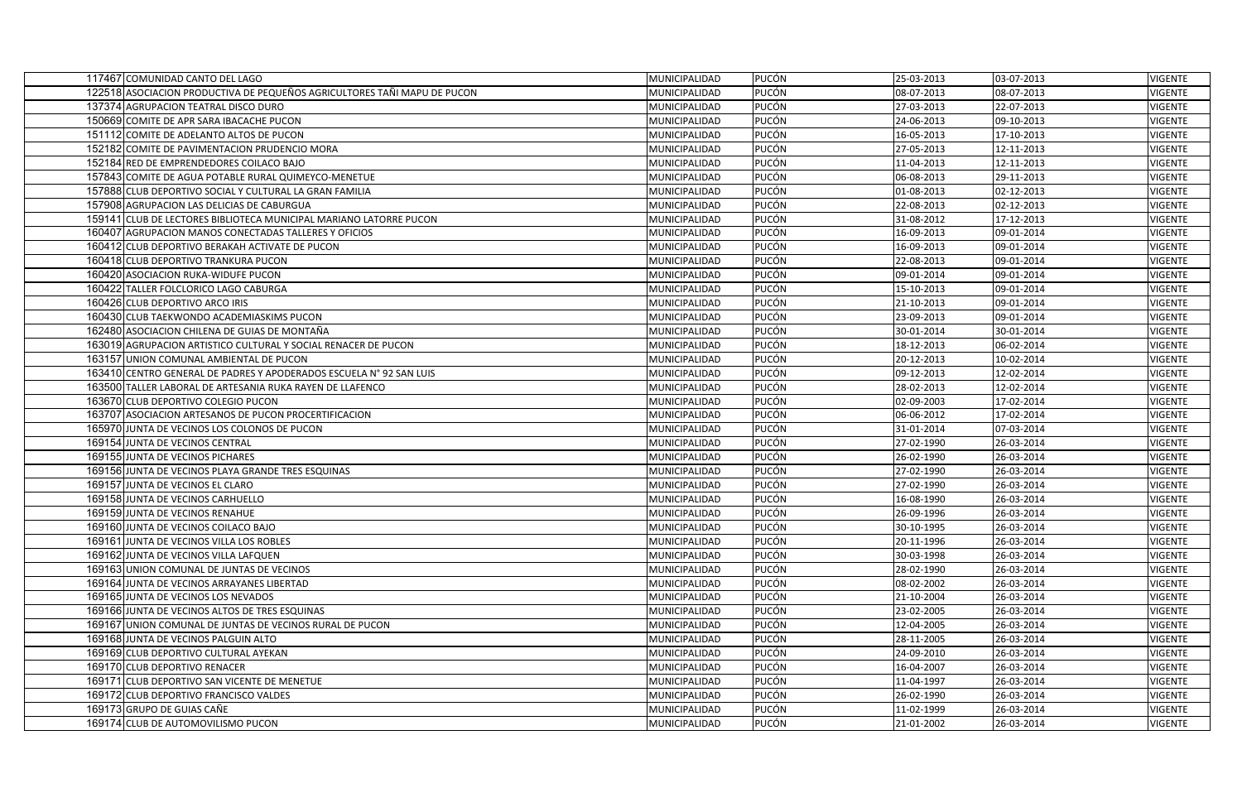| 117467 COMUNIDAD CANTO DEL LAGO                                          | MUNICIPALIDAD | <b>PUCÓN</b> | 25-03-2013 | 03-07-2013 | <b>VIGENTE</b> |
|--------------------------------------------------------------------------|---------------|--------------|------------|------------|----------------|
| 122518 ASOCIACION PRODUCTIVA DE PEQUEÑOS AGRICULTORES TAÑI MAPU DE PUCON | MUNICIPALIDAD | PUCÓN        | 08-07-2013 | 08-07-2013 | <b>VIGENTE</b> |
| 137374 AGRUPACION TEATRAL DISCO DURO                                     | MUNICIPALIDAD | PUCÓN        | 27-03-2013 | 22-07-2013 | VIGENTE        |
| 150669 COMITE DE APR SARA IBACACHE PUCON                                 | MUNICIPALIDAD | <b>PUCÓN</b> | 24-06-2013 | 09-10-2013 | <b>VIGENTE</b> |
| 151112 COMITE DE ADELANTO ALTOS DE PUCON                                 | MUNICIPALIDAD | <b>PUCÓN</b> | 16-05-2013 | 17-10-2013 | <b>VIGENTE</b> |
| 152182 COMITE DE PAVIMENTACION PRUDENCIO MORA                            | MUNICIPALIDAD | PUCÓN        | 27-05-2013 | 12-11-2013 | <b>VIGENTE</b> |
| 152184 RED DE EMPRENDEDORES COILACO BAJO                                 | MUNICIPALIDAD | PUCÓN        | 11-04-2013 | 12-11-2013 | <b>VIGENTE</b> |
| 157843 COMITE DE AGUA POTABLE RURAL QUIMEYCO-MENETUE                     | MUNICIPALIDAD | <b>PUCÓN</b> | 06-08-2013 | 29-11-2013 | <b>VIGENTE</b> |
| 157888 CLUB DEPORTIVO SOCIAL Y CULTURAL LA GRAN FAMILIA                  | MUNICIPALIDAD | PUCÓN        | 01-08-2013 | 02-12-2013 | <b>VIGENTE</b> |
| 157908 AGRUPACION LAS DELICIAS DE CABURGUA                               | MUNICIPALIDAD | <b>PUCÓN</b> | 22-08-2013 | 02-12-2013 | VIGENTE        |
| 159141 CLUB DE LECTORES BIBLIOTECA MUNICIPAL MARIANO LATORRE PUCON       | MUNICIPALIDAD | <b>PUCÓN</b> | 31-08-2012 | 17-12-2013 | <b>VIGENTE</b> |
| 160407 AGRUPACION MANOS CONECTADAS TALLERES Y OFICIOS                    | MUNICIPALIDAD | <b>PUCÓN</b> | 16-09-2013 | 09-01-2014 | <b>VIGENTE</b> |
| 160412 CLUB DEPORTIVO BERAKAH ACTIVATE DE PUCON                          | MUNICIPALIDAD | PUCÓN        | 16-09-2013 | 09-01-2014 | VIGENTE        |
| 160418 CLUB DEPORTIVO TRANKURA PUCON                                     | MUNICIPALIDAD | PUCÓN        | 22-08-2013 | 09-01-2014 | <b>VIGENTE</b> |
| 160420 ASOCIACION RUKA-WIDUFE PUCON                                      | MUNICIPALIDAD | <b>PUCÓN</b> | 09-01-2014 | 09-01-2014 | <b>VIGENTE</b> |
| 160422 TALLER FOLCLORICO LAGO CABURGA                                    | MUNICIPALIDAD | <b>PUCÓN</b> | 15-10-2013 | 09-01-2014 | <b>VIGENTE</b> |
| 160426 CLUB DEPORTIVO ARCO IRIS                                          | MUNICIPALIDAD | PUCÓN        | 21-10-2013 | 09-01-2014 | <b>VIGENTE</b> |
| 160430 CLUB TAEKWONDO ACADEMIASKIMS PUCON                                | MUNICIPALIDAD | PUCÓN        | 23-09-2013 | 09-01-2014 | <b>VIGENTE</b> |
| 162480 ASOCIACION CHILENA DE GUIAS DE MONTAÑA                            | MUNICIPALIDAD | PUCÓN        | 30-01-2014 | 30-01-2014 | <b>VIGENTE</b> |
| 163019 AGRUPACION ARTISTICO CULTURAL Y SOCIAL RENACER DE PUCON           | MUNICIPALIDAD | PUCÓN        | 18-12-2013 | 06-02-2014 | <b>VIGENTE</b> |
| 163157 UNION COMUNAL AMBIENTAL DE PUCON                                  | MUNICIPALIDAD | <b>PUCÓN</b> | 20-12-2013 | 10-02-2014 | <b>VIGENTE</b> |
| 163410 CENTRO GENERAL DE PADRES Y APODERADOS ESCUELA Nº 92 SAN LUIS      | MUNICIPALIDAD | <b>PUCÓN</b> | 09-12-2013 | 12-02-2014 | <b>VIGENTE</b> |
| 163500 TALLER LABORAL DE ARTESANIA RUKA RAYEN DE LLAFENCO                | MUNICIPALIDAD | PUCÓN        | 28-02-2013 | 12-02-2014 | <b>VIGENTE</b> |
| 163670 CLUB DEPORTIVO COLEGIO PUCON                                      | MUNICIPALIDAD | PUCÓN        | 02-09-2003 | 17-02-2014 | VIGENTE        |
| 163707 ASOCIACION ARTESANOS DE PUCON PROCERTIFICACION                    | MUNICIPALIDAD | PUCÓN        | 06-06-2012 | 17-02-2014 | VIGENTE        |
| 165970 JUNTA DE VECINOS LOS COLONOS DE PUCON                             | MUNICIPALIDAD | <b>PUCÓN</b> | 31-01-2014 | 07-03-2014 | <b>VIGENTE</b> |
| 169154 JUNTA DE VECINOS CENTRAL                                          | MUNICIPALIDAD | <b>PUCÓN</b> | 27-02-1990 | 26-03-2014 | VIGENTE        |
| 169155 JUNTA DE VECINOS PICHARES                                         | MUNICIPALIDAD | PUCÓN        | 26-02-1990 | 26-03-2014 | VIGENTE        |
| 169156 JUNTA DE VECINOS PLAYA GRANDE TRES ESQUINAS                       | MUNICIPALIDAD | PUCÓN        | 27-02-1990 | 26-03-2014 | <b>VIGENTE</b> |
| 169157 JUNTA DE VECINOS EL CLARO                                         | MUNICIPALIDAD | PUCÓN        | 27-02-1990 | 26-03-2014 | <b>VIGENTE</b> |
| 169158 JUNTA DE VECINOS CARHUELLO                                        | MUNICIPALIDAD | <b>PUCÓN</b> | 16-08-1990 | 26-03-2014 | <b>VIGENTE</b> |
| 169159 JUNTA DE VECINOS RENAHUE                                          | MUNICIPALIDAD | <b>PUCÓN</b> | 26-09-1996 | 26-03-2014 | <b>VIGENTE</b> |
| 169160 JUNTA DE VECINOS COILACO BAJO                                     | MUNICIPALIDAD | <b>PUCÓN</b> | 30-10-1995 | 26-03-2014 | <b>VIGENTE</b> |
| 169161 JUNTA DE VECINOS VILLA LOS ROBLES                                 | MUNICIPALIDAD | PUCÓN        | 20-11-1996 | 26-03-2014 | VIGENTE        |
| 169162 JUNTA DE VECINOS VILLA LAFQUEN                                    | MUNICIPALIDAD | PUCÓN        | 30-03-1998 | 26-03-2014 | VIGENTE        |
| 169163 UNION COMUNAL DE JUNTAS DE VECINOS                                | MUNICIPALIDAD | <b>PUCÓN</b> | 28-02-1990 | 26-03-2014 | <b>VIGENTE</b> |
| 169164 JUNTA DE VECINOS ARRAYANES LIBERTAD                               | MUNICIPALIDAD | <b>PUCÓN</b> | 08-02-2002 | 26-03-2014 | <b>VIGENTE</b> |
| 169165 JUNTA DE VECINOS LOS NEVADOS                                      | MUNICIPALIDAD | <b>PUCÓN</b> | 21-10-2004 | 26-03-2014 | VIGENTE        |
| 169166 JUNTA DE VECINOS ALTOS DE TRES ESQUINAS                           | MUNICIPALIDAD | PUCÓN        | 23-02-2005 | 26-03-2014 | <b>VIGENTE</b> |
| 169167 UNION COMUNAL DE JUNTAS DE VECINOS RURAL DE PUCON                 | MUNICIPALIDAD | PUCÓN        | 12-04-2005 | 26-03-2014 | <b>VIGENTE</b> |
| 169168 JUNTA DE VECINOS PALGUIN ALTO                                     | MUNICIPALIDAD | PUCÓN        | 28-11-2005 | 26-03-2014 | VIGENTE        |
| 169169 CLUB DEPORTIVO CULTURAL AYEKAN                                    | MUNICIPALIDAD | <b>PUCÓN</b> | 24-09-2010 | 26-03-2014 | <b>VIGENTE</b> |
| 169170 CLUB DEPORTIVO RENACER                                            | MUNICIPALIDAD | <b>PUCÓN</b> | 16-04-2007 | 26-03-2014 | <b>VIGENTE</b> |
| 169171 CLUB DEPORTIVO SAN VICENTE DE MENETUE                             | MUNICIPALIDAD | <b>PUCÓN</b> | 11-04-1997 | 26-03-2014 | VIGENTE        |
| 169172 CLUB DEPORTIVO FRANCISCO VALDES                                   | MUNICIPALIDAD | PUCÓN        | 26-02-1990 | 26-03-2014 | <b>VIGENTE</b> |
| 169173 GRUPO DE GUIAS CAÑE                                               | MUNICIPALIDAD | PUCÓN        | 11-02-1999 | 26-03-2014 | VIGENTE        |
| 169174 CLUB DE AUTOMOVILISMO PUCON                                       | MUNICIPALIDAD | <b>PUCÓN</b> | 21-01-2002 | 26-03-2014 | VIGENTE        |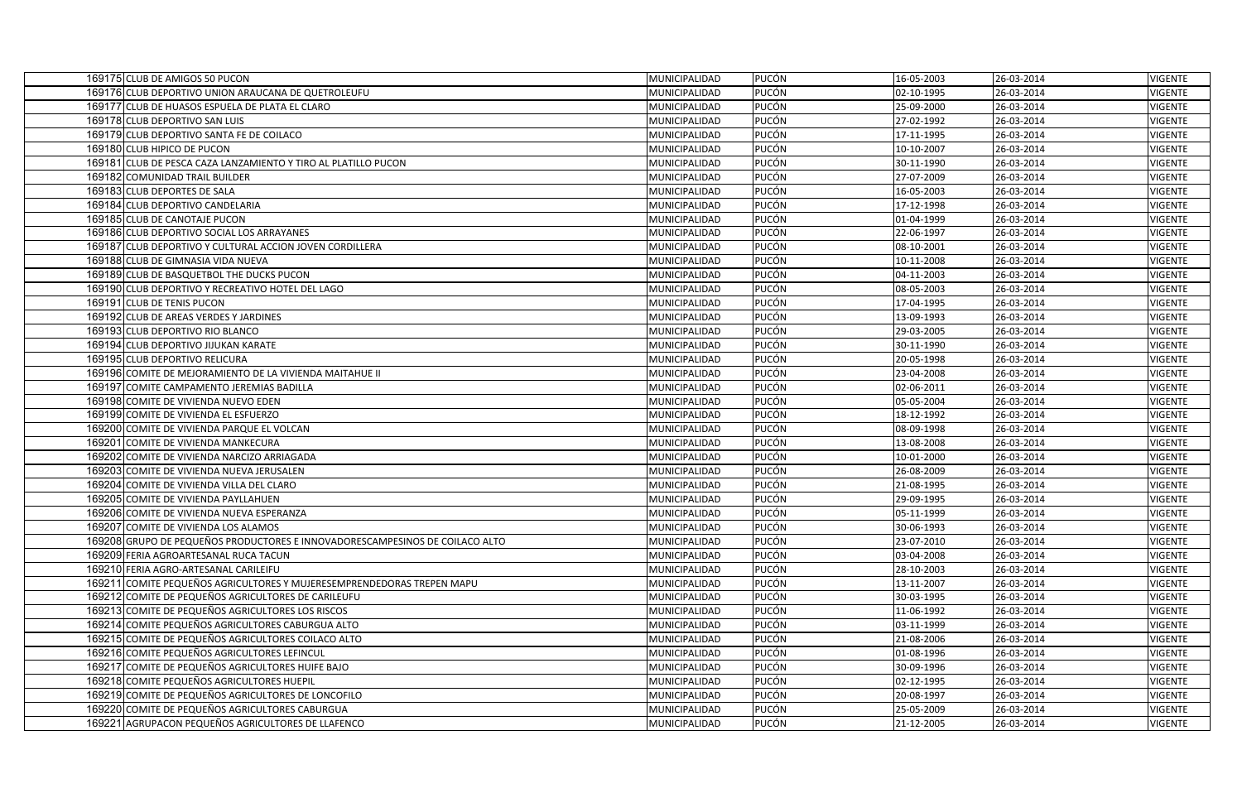| 169175 CLUB DE AMIGOS 50 PUCON                                                                           | MUNICIPALIDAD                  | <b>PUCÓN</b>                 | 16-05-2003               | 26-03-2014               | <b>VIGENTE</b>            |
|----------------------------------------------------------------------------------------------------------|--------------------------------|------------------------------|--------------------------|--------------------------|---------------------------|
| 169176 CLUB DEPORTIVO UNION ARAUCANA DE QUETROLEUFU                                                      | MUNICIPALIDAD                  | PUCÓN                        | 02-10-1995               | 26-03-2014               | <b>VIGENTE</b>            |
| 169177 CLUB DE HUASOS ESPUELA DE PLATA EL CLARO                                                          | MUNICIPALIDAD                  | PUCÓN                        | 25-09-2000               | 26-03-2014               | VIGENTE                   |
| 169178 CLUB DEPORTIVO SAN LUIS                                                                           | MUNICIPALIDAD                  | <b>PUCÓN</b>                 | 27-02-1992               | 26-03-2014               | <b>VIGENTE</b>            |
| 169179 CLUB DEPORTIVO SANTA FE DE COILACO                                                                | MUNICIPALIDAD                  | <b>PUCÓN</b>                 | 17-11-1995               | 26-03-2014               | VIGENTE                   |
| 169180 CLUB HIPICO DE PUCON                                                                              | MUNICIPALIDAD                  | <b>PUCÓN</b>                 | 10-10-2007               | 26-03-2014               | <b>VIGENTE</b>            |
| 169181 CLUB DE PESCA CAZA LANZAMIENTO Y TIRO AL PLATILLO PUCON                                           | MUNICIPALIDAD                  | PUCÓN                        | 30-11-1990               | 26-03-2014               | VIGENTE                   |
| 169182 COMUNIDAD TRAIL BUILDER                                                                           | MUNICIPALIDAD                  | PUCÓN                        | 27-07-2009               | 26-03-2014               | <b>VIGENTE</b>            |
| 169183 CLUB DEPORTES DE SALA                                                                             | MUNICIPALIDAD                  | PUCÓN                        | 16-05-2003               | 26-03-2014               | VIGENTE                   |
| 169184 CLUB DEPORTIVO CANDELARIA                                                                         | MUNICIPALIDAD                  | <b>PUCÓN</b>                 | 17-12-1998               | 26-03-2014               | <b>VIGENTE</b>            |
| 169185 CLUB DE CANOTAJE PUCON                                                                            | MUNICIPALIDAD                  | <b>PUCÓN</b>                 | 01-04-1999               | 26-03-2014               | VIGENTE                   |
| 169186 CLUB DEPORTIVO SOCIAL LOS ARRAYANES                                                               | MUNICIPALIDAD                  | PUCÓN                        | 22-06-1997               | 26-03-2014               | <b>VIGENTE</b>            |
| 169187 CLUB DEPORTIVO Y CULTURAL ACCION JOVEN CORDILLERA                                                 | MUNICIPALIDAD                  | <b>PUCÓN</b>                 | 08-10-2001               | 26-03-2014               | <b>VIGENTE</b>            |
| 169188 CLUB DE GIMNASIA VIDA NUEVA                                                                       | MUNICIPALIDAD                  | <b>PUCÓN</b>                 | 10-11-2008               | 26-03-2014               | <b>VIGENTE</b>            |
| 169189 CLUB DE BASQUETBOL THE DUCKS PUCON                                                                | MUNICIPALIDAD                  | PUCÓN                        | 04-11-2003               | 26-03-2014               | VIGENTE                   |
| 169190 CLUB DEPORTIVO Y RECREATIVO HOTEL DEL LAGO                                                        | MUNICIPALIDAD                  | <b>PUCÓN</b>                 | 08-05-2003               | 26-03-2014               | <b>VIGENTE</b>            |
| 169191 CLUB DE TENIS PUCON                                                                               | MUNICIPALIDAD                  | <b>PUCÓN</b>                 | 17-04-1995               | 26-03-2014               | VIGENTE                   |
| 169192 CLUB DE AREAS VERDES Y JARDINES                                                                   | MUNICIPALIDAD                  | PUCÓN                        | 13-09-1993               | 26-03-2014               | <b>VIGENTE</b>            |
| 169193 CLUB DEPORTIVO RIO BLANCO                                                                         | MUNICIPALIDAD                  | PUCÓN                        | 29-03-2005               | 26-03-2014               | VIGENTE                   |
| 169194 CLUB DEPORTIVO JIJUKAN KARATE                                                                     | MUNICIPALIDAD                  | PUCÓN                        | 30-11-1990               | 26-03-2014               | VIGENTE                   |
| 169195 CLUB DEPORTIVO RELICURA                                                                           | MUNICIPALIDAD                  | PUCÓN                        | 20-05-1998               | 26-03-2014               | VIGENTE                   |
| 169196 COMITE DE MEJORAMIENTO DE LA VIVIENDA MAITAHUE II                                                 | MUNICIPALIDAD                  | <b>PUCÓN</b>                 | 23-04-2008               | 26-03-2014               | <b>VIGENTE</b>            |
| 169197 COMITE CAMPAMENTO JEREMIAS BADILLA                                                                | MUNICIPALIDAD                  | PUCÓN                        | 02-06-2011               | 26-03-2014               | <b>VIGENTE</b>            |
| 169198 COMITE DE VIVIENDA NUEVO EDEN                                                                     | MUNICIPALIDAD                  | PUCÓN                        | 05-05-2004               | 26-03-2014               | <b>VIGENTE</b>            |
| 169199 COMITE DE VIVIENDA EL ESFUERZO                                                                    | MUNICIPALIDAD                  | PUCÓN                        | 18-12-1992               | 26-03-2014               | <b>VIGENTE</b>            |
| 169200 COMITE DE VIVIENDA PARQUE EL VOLCAN                                                               | MUNICIPALIDAD                  | PUCÓN                        | 08-09-1998               | 26-03-2014               | <b>VIGENTE</b>            |
| 169201 COMITE DE VIVIENDA MANKECURA                                                                      | MUNICIPALIDAD                  | <b>PUCÓN</b>                 | 13-08-2008               | 26-03-2014               | <b>VIGENTE</b>            |
| 169202 COMITE DE VIVIENDA NARCIZO ARRIAGADA                                                              | MUNICIPALIDAD                  | <b>PUCÓN</b>                 | 10-01-2000               | 26-03-2014               | VIGENTE                   |
| 169203 COMITE DE VIVIENDA NUEVA JERUSALEN                                                                | MUNICIPALIDAD                  | PUCÓN                        | 26-08-2009               | 26-03-2014               | <b>VIGENTE</b>            |
| 169204 COMITE DE VIVIENDA VILLA DEL CLARO                                                                | MUNICIPALIDAD                  | <b>PUCÓN</b>                 | 21-08-1995               | 26-03-2014               | VIGENTE                   |
| 169205 COMITE DE VIVIENDA PAYLLAHUEN                                                                     | MUNICIPALIDAD                  | PUCÓN                        | 29-09-1995               | 26-03-2014               | VIGENTE                   |
| 169206 COMITE DE VIVIENDA NUEVA ESPERANZA                                                                | MUNICIPALIDAD                  | <b>PUCÓN</b>                 | 05-11-1999               | 26-03-2014               | <b>VIGENTE</b>            |
| 169207 COMITE DE VIVIENDA LOS ALAMOS                                                                     | MUNICIPALIDAD                  | <b>PUCÓN</b>                 | 30-06-1993               | 26-03-2014               | <b>VIGENTE</b>            |
| 169208 GRUPO DE PEQUEÑOS PRODUCTORES E INNOVADORESCAMPESINOS DE COILACO ALTO                             | MUNICIPALIDAD                  | PUCÓN                        | 23-07-2010               | 26-03-2014               | VIGENTE                   |
| 169209 FERIA AGROARTESANAL RUCA TACUN                                                                    | MUNICIPALIDAD                  | PUCÓN                        | 03-04-2008               | 26-03-2014               | VIGENTE                   |
| 169210 FERIA AGRO-ARTESANAL CARILEIFU                                                                    | MUNICIPALIDAD                  | PUCÓN                        | 28-10-2003               | 26-03-2014               | VIGENTE                   |
| 169211 COMITE PEQUEÑOS AGRICULTORES Y MUJERESEMPRENDEDORAS TREPEN MAPU                                   | MUNICIPALIDAD                  | PUCÓN                        | 13-11-2007               | 26-03-2014               | VIGENTE                   |
| 169212 COMITE DE PEQUEÑOS AGRICULTORES DE CARILEUFU<br>169213 COMITE DE PEQUEÑOS AGRICULTORES LOS RISCOS | MUNICIPALIDAD                  | <b>PUCÓN</b><br><b>PUCÓN</b> | 30-03-1995               | 26-03-2014               | <b>VIGENTE</b>            |
| 169214 COMITE PEQUEÑOS AGRICULTORES CABURGUA ALTO                                                        | MUNICIPALIDAD<br>MUNICIPALIDAD | PUCÓN                        | 11-06-1992<br>03-11-1999 | 26-03-2014<br>26-03-2014 | VIGENTE<br><b>VIGENTE</b> |
| 169215 COMITE DE PEQUEÑOS AGRICULTORES COILACO ALTO                                                      | MUNICIPALIDAD                  | PUCÓN                        | 21-08-2006               | 26-03-2014               | <b>VIGENTE</b>            |
| 169216 COMITE PEQUEÑOS AGRICULTORES LEFINCUL                                                             | MUNICIPALIDAD                  | PUCÓN                        | 01-08-1996               | 26-03-2014               | <b>VIGENTE</b>            |
| 169217 COMITE DE PEQUEÑOS AGRICULTORES HUIFE BAJO                                                        | MUNICIPALIDAD                  | <b>PUCÓN</b>                 | 30-09-1996               | 26-03-2014               | <b>VIGENTE</b>            |
| 169218 COMITE PEQUEÑOS AGRICULTORES HUEPIL                                                               | MUNICIPALIDAD                  | PUCÓN                        | 02-12-1995               | 26-03-2014               | VIGENTE                   |
| 169219 COMITE DE PEQUEÑOS AGRICULTORES DE LONCOFILO                                                      | MUNICIPALIDAD                  | PUCÓN                        | 20-08-1997               | 26-03-2014               | <b>VIGENTE</b>            |
| 169220 COMITE DE PEQUEÑOS AGRICULTORES CABURGUA                                                          | MUNICIPALIDAD                  | PUCÓN                        | 25-05-2009               | 26-03-2014               | VIGENTE                   |
| 169221 AGRUPACON PEQUEÑOS AGRICULTORES DE LLAFENCO                                                       | MUNICIPALIDAD                  | PUCÓN                        | 21-12-2005               | 26-03-2014               | VIGENTE                   |
|                                                                                                          |                                |                              |                          |                          |                           |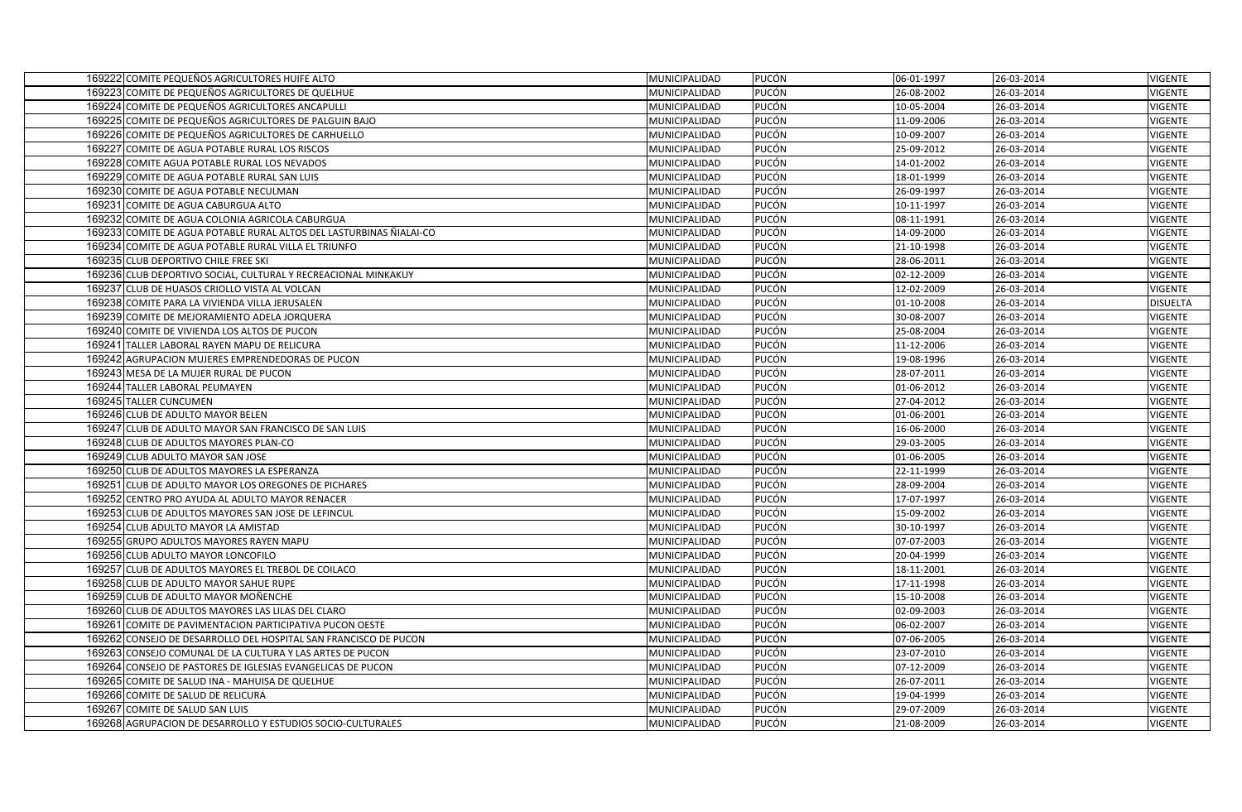| 169222 COMITE PEQUEÑOS AGRICULTORES HUIFE ALTO                      | <b>PUCÓN</b><br>MUNICIPALIDAD | 06-01-1997 | 26-03-2014 | <b>VIGENTE</b>  |
|---------------------------------------------------------------------|-------------------------------|------------|------------|-----------------|
| 169223 COMITE DE PEQUEÑOS AGRICULTORES DE QUELHUE                   | MUNICIPALIDAD<br><b>PUCÓN</b> | 26-08-2002 | 26-03-2014 | <b>VIGENTE</b>  |
| 169224 COMITE DE PEQUEÑOS AGRICULTORES ANCAPULLI                    | <b>PUCÓN</b><br>MUNICIPALIDAD | 10-05-2004 | 26-03-2014 | VIGENTE         |
| 169225 COMITE DE PEQUEÑOS AGRICULTORES DE PALGUIN BAJO              | <b>PUCÓN</b><br>MUNICIPALIDAD | 11-09-2006 | 26-03-2014 | VIGENTE         |
| 169226 COMITE DE PEQUEÑOS AGRICULTORES DE CARHUELLO                 | <b>PUCÓN</b><br>MUNICIPALIDAD | 10-09-2007 | 26-03-2014 | <b>VIGENTE</b>  |
| 169227 COMITE DE AGUA POTABLE RURAL LOS RISCOS                      | <b>PUCÓN</b><br>MUNICIPALIDAD | 25-09-2012 | 26-03-2014 | VIGENTE         |
| 169228 COMITE AGUA POTABLE RURAL LOS NEVADOS                        | <b>PUCÓN</b><br>MUNICIPALIDAD | 14-01-2002 | 26-03-2014 | VIGENTE         |
| 169229 COMITE DE AGUA POTABLE RURAL SAN LUIS                        | <b>PUCÓN</b><br>MUNICIPALIDAD | 18-01-1999 | 26-03-2014 | VIGENTE         |
| 169230 COMITE DE AGUA POTABLE NECULMAN                              | <b>PUCÓN</b><br>MUNICIPALIDAD | 26-09-1997 | 26-03-2014 | VIGENTE         |
| 169231 COMITE DE AGUA CABURGUA ALTO                                 | <b>PUCÓN</b><br>MUNICIPALIDAD | 10-11-1997 | 26-03-2014 | <b>VIGENTE</b>  |
| 169232 COMITE DE AGUA COLONIA AGRICOLA CABURGUA                     | <b>PUCÓN</b><br>MUNICIPALIDAD | 08-11-1991 | 26-03-2014 | <b>VIGENTE</b>  |
| 169233 COMITE DE AGUA POTABLE RURAL ALTOS DEL LASTURBINAS ÑIALAI-CO | <b>PUCÓN</b><br>MUNICIPALIDAD | 14-09-2000 | 26-03-2014 | <b>VIGENTE</b>  |
| 169234 COMITE DE AGUA POTABLE RURAL VILLA EL TRIUNFO                | <b>PUCÓN</b><br>MUNICIPALIDAD | 21-10-1998 | 26-03-2014 | <b>VIGENTE</b>  |
| 169235 CLUB DEPORTIVO CHILE FREE SKI                                | <b>PUCÓN</b><br>MUNICIPALIDAD | 28-06-2011 | 26-03-2014 | <b>VIGENTE</b>  |
| 169236 CLUB DEPORTIVO SOCIAL, CULTURAL Y RECREACIONAL MINKAKUY      | <b>PUCÓN</b><br>MUNICIPALIDAD | 02-12-2009 | 26-03-2014 | <b>VIGENTE</b>  |
| 169237 CLUB DE HUASOS CRIOLLO VISTA AL VOLCAN                       | <b>PUCÓN</b><br>MUNICIPALIDAD | 12-02-2009 | 26-03-2014 | <b>VIGENTE</b>  |
| 169238 COMITE PARA LA VIVIENDA VILLA JERUSALEN                      | PUCÓN<br>MUNICIPALIDAD        | 01-10-2008 | 26-03-2014 | <b>DISUELTA</b> |
| 169239 COMITE DE MEJORAMIENTO ADELA JORQUERA                        | <b>PUCÓN</b><br>MUNICIPALIDAD | 30-08-2007 | 26-03-2014 | <b>VIGENTE</b>  |
| 169240 COMITE DE VIVIENDA LOS ALTOS DE PUCON                        | <b>PUCÓN</b><br>MUNICIPALIDAD | 25-08-2004 | 26-03-2014 | VIGENTE         |
| 169241 TALLER LABORAL RAYEN MAPU DE RELICURA                        | PUCÓN<br>MUNICIPALIDAD        | 11-12-2006 | 26-03-2014 | <b>VIGENTE</b>  |
| 169242 AGRUPACION MUJERES EMPRENDEDORAS DE PUCON                    | <b>PUCÓN</b><br>MUNICIPALIDAD | 19-08-1996 | 26-03-2014 | <b>VIGENTE</b>  |
| 169243 MESA DE LA MUJER RURAL DE PUCON                              | <b>PUCÓN</b><br>MUNICIPALIDAD | 28-07-2011 | 26-03-2014 | VIGENTE         |
| 169244 TALLER LABORAL PEUMAYEN                                      | <b>PUCÓN</b><br>MUNICIPALIDAD | 01-06-2012 | 26-03-2014 | <b>VIGENTE</b>  |
| 169245 TALLER CUNCUMEN                                              | <b>PUCÓN</b><br>MUNICIPALIDAD | 27-04-2012 | 26-03-2014 | VIGENTE         |
| 169246 CLUB DE ADULTO MAYOR BELEN                                   | <b>PUCÓN</b><br>MUNICIPALIDAD | 01-06-2001 | 26-03-2014 | VIGENTE         |
| 169247 CLUB DE ADULTO MAYOR SAN FRANCISCO DE SAN LUIS               | MUNICIPALIDAD<br><b>PUCÓN</b> | 16-06-2000 | 26-03-2014 | <b>VIGENTE</b>  |
| 169248 CLUB DE ADULTOS MAYORES PLAN-CO                              | <b>PUCÓN</b><br>MUNICIPALIDAD | 29-03-2005 | 26-03-2014 | VIGENTE         |
| 169249 CLUB ADULTO MAYOR SAN JOSE                                   | PUCÓN<br>MUNICIPALIDAD        | 01-06-2005 | 26-03-2014 | <b>VIGENTE</b>  |
| 169250 CLUB DE ADULTOS MAYORES LA ESPERANZA                         | PUCÓN<br>MUNICIPALIDAD        | 22-11-1999 | 26-03-2014 | VIGENTE         |
| 169251 CLUB DE ADULTO MAYOR LOS OREGONES DE PICHARES                | <b>PUCÓN</b><br>MUNICIPALIDAD | 28-09-2004 | 26-03-2014 | VIGENTE         |
| 169252 CENTRO PRO AYUDA AL ADULTO MAYOR RENACER                     | PUCÓN<br>MUNICIPALIDAD        | 17-07-1997 | 26-03-2014 | <b>VIGENTE</b>  |
| 169253 CLUB DE ADULTOS MAYORES SAN JOSE DE LEFINCUL                 | <b>PUCÓN</b><br>MUNICIPALIDAD | 15-09-2002 | 26-03-2014 | VIGENTE         |
| 169254 CLUB ADULTO MAYOR LA AMISTAD                                 | <b>PUCÓN</b><br>MUNICIPALIDAD | 30-10-1997 | 26-03-2014 | <b>VIGENTE</b>  |
| 169255 GRUPO ADULTOS MAYORES RAYEN MAPU                             | MUNICIPALIDAD<br><b>PUCÓN</b> | 07-07-2003 | 26-03-2014 | <b>VIGENTE</b>  |
| 169256 CLUB ADULTO MAYOR LONCOFILO                                  | <b>PUCÓN</b><br>MUNICIPALIDAD | 20-04-1999 | 26-03-2014 | <b>VIGENTE</b>  |
| 169257 CLUB DE ADULTOS MAYORES EL TREBOL DE COILACO                 | <b>PUCÓN</b><br>MUNICIPALIDAD | 18-11-2001 | 26-03-2014 | <b>VIGENTE</b>  |
| 169258 CLUB DE ADULTO MAYOR SAHUE RUPE                              | <b>PUCÓN</b><br>MUNICIPALIDAD | 17-11-1998 | 26-03-2014 | <b>VIGENTE</b>  |
| 169259 CLUB DE ADULTO MAYOR MOÑENCHE                                | <b>PUCÓN</b><br>MUNICIPALIDAD | 15-10-2008 | 26-03-2014 | <b>VIGENTE</b>  |
| 169260 CLUB DE ADULTOS MAYORES LAS LILAS DEL CLARO                  | <b>PUCÓN</b><br>MUNICIPALIDAD | 02-09-2003 | 26-03-2014 | VIGENTE         |
| 169261 COMITE DE PAVIMENTACION PARTICIPATIVA PUCON OESTE            | <b>PUCÓN</b><br>MUNICIPALIDAD | 06-02-2007 | 26-03-2014 | VIGENTE         |
| 169262 CONSEJO DE DESARROLLO DEL HOSPITAL SAN FRANCISCO DE PUCON    | <b>PUCÓN</b><br>MUNICIPALIDAD | 07-06-2005 | 26-03-2014 | VIGENTE         |
| 169263 CONSEJO COMUNAL DE LA CULTURA Y LAS ARTES DE PUCON           | <b>PUCÓN</b><br>MUNICIPALIDAD | 23-07-2010 | 26-03-2014 | <b>VIGENTE</b>  |
| 169264 CONSEJO DE PASTORES DE IGLESIAS EVANGELICAS DE PUCON         | PUCÓN<br>MUNICIPALIDAD        | 07-12-2009 | 26-03-2014 | <b>VIGENTE</b>  |
| 169265 COMITE DE SALUD INA - MAHUISA DE QUELHUE                     | <b>PUCÓN</b><br>MUNICIPALIDAD | 26-07-2011 | 26-03-2014 | <b>VIGENTE</b>  |
| 169266 COMITE DE SALUD DE RELICURA                                  | <b>PUCÓN</b><br>MUNICIPALIDAD | 19-04-1999 | 26-03-2014 | VIGENTE         |
| 169267 COMITE DE SALUD SAN LUIS                                     | <b>PUCÓN</b><br>MUNICIPALIDAD | 29-07-2009 | 26-03-2014 | <b>VIGENTE</b>  |
| 169268 AGRUPACION DE DESARROLLO Y ESTUDIOS SOCIO-CULTURALES         | <b>PUCÓN</b><br>MUNICIPALIDAD | 21-08-2009 | 26-03-2014 | <b>VIGENTE</b>  |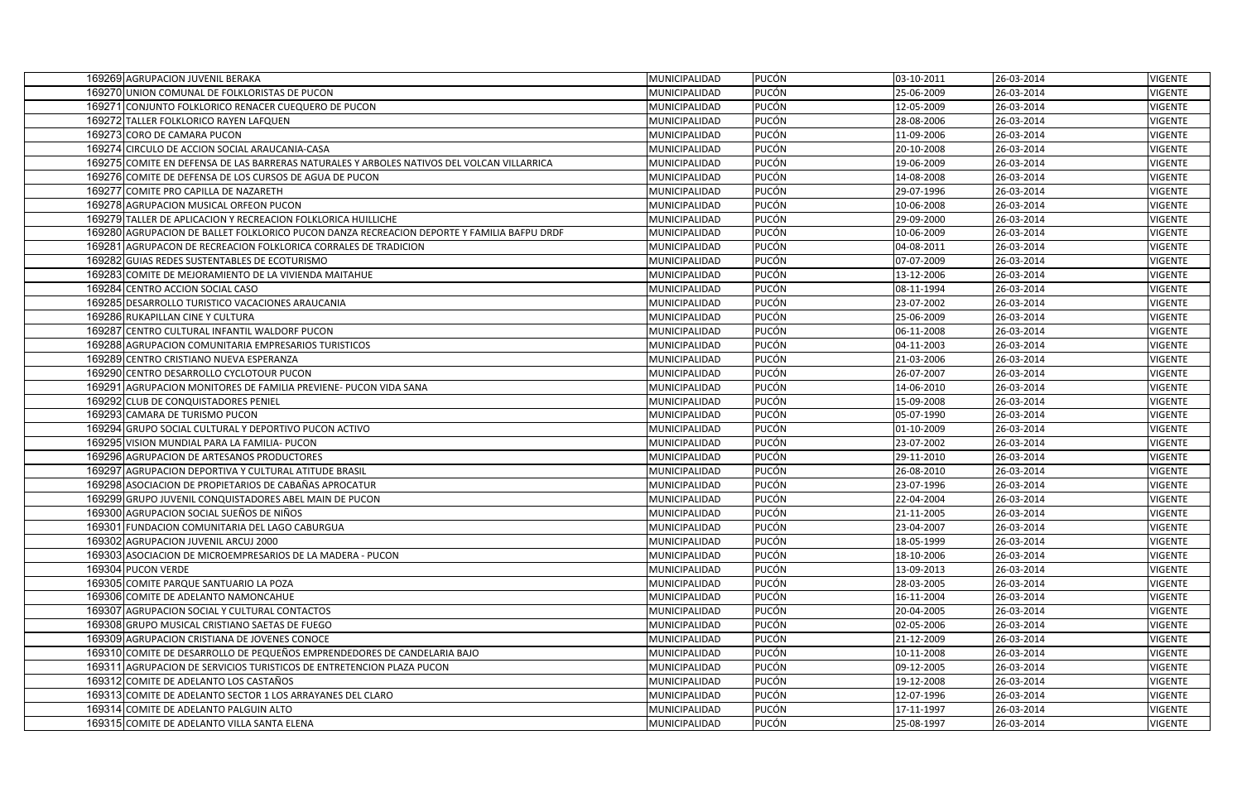| 169269 AGRUPACION JUVENIL BERAKA                                                           | <b>PUCÓN</b><br>MUNICIPALIDAD | 03-10-2011 | 26-03-2014 | <b>VIGENTE</b> |
|--------------------------------------------------------------------------------------------|-------------------------------|------------|------------|----------------|
| 169270 UNION COMUNAL DE FOLKLORISTAS DE PUCON                                              | MUNICIPALIDAD<br><b>PUCÓN</b> | 25-06-2009 | 26-03-2014 | <b>VIGENTE</b> |
| 169271 CONJUNTO FOLKLORICO RENACER CUEQUERO DE PUCON                                       | <b>PUCÓN</b><br>MUNICIPALIDAD | 12-05-2009 | 26-03-2014 | VIGENTE        |
| 169272 TALLER FOLKLORICO RAYEN LAFQUEN                                                     | <b>PUCÓN</b><br>MUNICIPALIDAD | 28-08-2006 | 26-03-2014 | <b>VIGENTE</b> |
| 169273 CORO DE CAMARA PUCON                                                                | <b>PUCÓN</b><br>MUNICIPALIDAD | 11-09-2006 | 26-03-2014 | VIGENTE        |
| 169274 CIRCULO DE ACCION SOCIAL ARAUCANIA-CASA                                             | PUCÓN<br>MUNICIPALIDAD        | 20-10-2008 | 26-03-2014 | <b>VIGENTE</b> |
| 169275 COMITE EN DEFENSA DE LAS BARRERAS NATURALES Y ARBOLES NATIVOS DEL VOLCAN VILLARRICA | <b>PUCÓN</b><br>MUNICIPALIDAD | 19-06-2009 | 26-03-2014 | VIGENTE        |
| 169276 COMITE DE DEFENSA DE LOS CURSOS DE AGUA DE PUCON                                    | <b>PUCÓN</b><br>MUNICIPALIDAD | 14-08-2008 | 26-03-2014 | <b>VIGENTE</b> |
| 169277 COMITE PRO CAPILLA DE NAZARETH                                                      | PUCÓN<br>MUNICIPALIDAD        | 29-07-1996 | 26-03-2014 | VIGENTE        |
| 169278 AGRUPACION MUSICAL ORFEON PUCON                                                     | <b>PUCÓN</b><br>MUNICIPALIDAD | 10-06-2008 | 26-03-2014 | <b>VIGENTE</b> |
| 169279 TALLER DE APLICACION Y RECREACION FOLKLORICA HUILLICHE                              | <b>PUCÓN</b><br>MUNICIPALIDAD | 29-09-2000 | 26-03-2014 | VIGENTE        |
| 169280 AGRUPACION DE BALLET FOLKLORICO PUCON DANZA RECREACION DEPORTE Y FAMILIA BAFPU DRDF | PUCÓN<br>MUNICIPALIDAD        | 10-06-2009 | 26-03-2014 | <b>VIGENTE</b> |
| 169281 AGRUPACON DE RECREACION FOLKLORICA CORRALES DE TRADICION                            | <b>PUCÓN</b><br>MUNICIPALIDAD | 04-08-2011 | 26-03-2014 | <b>VIGENTE</b> |
| 169282 GUIAS REDES SUSTENTABLES DE ECOTURISMO                                              | <b>PUCÓN</b><br>MUNICIPALIDAD | 07-07-2009 | 26-03-2014 | <b>VIGENTE</b> |
| 169283 COMITE DE MEJORAMIENTO DE LA VIVIENDA MAITAHUE                                      | <b>PUCÓN</b><br>MUNICIPALIDAD | 13-12-2006 | 26-03-2014 | <b>VIGENTE</b> |
| 169284 CENTRO ACCION SOCIAL CASO                                                           | <b>PUCÓN</b><br>MUNICIPALIDAD | 08-11-1994 | 26-03-2014 | <b>VIGENTE</b> |
| 169285 DESARROLLO TURISTICO VACACIONES ARAUCANIA                                           | <b>PUCÓN</b><br>MUNICIPALIDAD | 23-07-2002 | 26-03-2014 | <b>VIGENTE</b> |
| 169286 RUKAPILLAN CINE Y CULTURA                                                           | <b>PUCÓN</b><br>MUNICIPALIDAD | 25-06-2009 | 26-03-2014 | <b>VIGENTE</b> |
| 169287 CENTRO CULTURAL INFANTIL WALDORF PUCON                                              | PUCÓN<br>MUNICIPALIDAD        | 06-11-2008 | 26-03-2014 | <b>VIGENTE</b> |
| 169288 AGRUPACION COMUNITARIA EMPRESARIOS TURISTICOS                                       | <b>PUCÓN</b><br>MUNICIPALIDAD | 04-11-2003 | 26-03-2014 | <b>VIGENTE</b> |
| 169289 CENTRO CRISTIANO NUEVA ESPERANZA                                                    | <b>PUCÓN</b><br>MUNICIPALIDAD | 21-03-2006 | 26-03-2014 | <b>VIGENTE</b> |
| 169290 CENTRO DESARROLLO CYCLOTOUR PUCON                                                   | <b>PUCÓN</b><br>MUNICIPALIDAD | 26-07-2007 | 26-03-2014 | <b>VIGENTE</b> |
| 169291 AGRUPACION MONITORES DE FAMILIA PREVIENE- PUCON VIDA SANA                           | <b>PUCÓN</b><br>MUNICIPALIDAD | 14-06-2010 | 26-03-2014 | <b>VIGENTE</b> |
| 169292 CLUB DE CONQUISTADORES PENIEL                                                       | <b>PUCÓN</b><br>MUNICIPALIDAD | 15-09-2008 | 26-03-2014 | <b>VIGENTE</b> |
| 169293 CAMARA DE TURISMO PUCON                                                             | <b>PUCÓN</b><br>MUNICIPALIDAD | 05-07-1990 | 26-03-2014 | <b>VIGENTE</b> |
| 169294 GRUPO SOCIAL CULTURAL Y DEPORTIVO PUCON ACTIVO                                      | <b>PUCÓN</b><br>MUNICIPALIDAD | 01-10-2009 | 26-03-2014 | <b>VIGENTE</b> |
| 169295 VISION MUNDIAL PARA LA FAMILIA- PUCON                                               | <b>PUCÓN</b><br>MUNICIPALIDAD | 23-07-2002 | 26-03-2014 | <b>VIGENTE</b> |
| 169296 AGRUPACION DE ARTESANOS PRODUCTORES                                                 | <b>PUCÓN</b><br>MUNICIPALIDAD | 29-11-2010 | 26-03-2014 | <b>VIGENTE</b> |
| 169297 AGRUPACION DEPORTIVA Y CULTURAL ATITUDE BRASIL                                      | <b>PUCÓN</b><br>MUNICIPALIDAD | 26-08-2010 | 26-03-2014 | <b>VIGENTE</b> |
| 169298 ASOCIACION DE PROPIETARIOS DE CABAÑAS APROCATUR                                     | <b>PUCÓN</b><br>MUNICIPALIDAD | 23-07-1996 | 26-03-2014 | VIGENTE        |
| 169299 GRUPO JUVENIL CONQUISTADORES ABEL MAIN DE PUCON                                     | <b>PUCÓN</b><br>MUNICIPALIDAD | 22-04-2004 | 26-03-2014 | VIGENTE        |
| 169300 AGRUPACION SOCIAL SUEÑOS DE NIÑOS                                                   | <b>PUCÓN</b><br>MUNICIPALIDAD | 21-11-2005 | 26-03-2014 | <b>VIGENTE</b> |
| 169301 FUNDACION COMUNITARIA DEL LAGO CABURGUA                                             | <b>PUCÓN</b><br>MUNICIPALIDAD | 23-04-2007 | 26-03-2014 | VIGENTE        |
| 169302 AGRUPACION JUVENIL ARCUJ 2000                                                       | PUCÓN<br>MUNICIPALIDAD        | 18-05-1999 | 26-03-2014 | VIGENTE        |
| 169303 ASOCIACION DE MICROEMPRESARIOS DE LA MADERA - PUCON                                 | PUCÓN<br>MUNICIPALIDAD        | 18-10-2006 | 26-03-2014 | VIGENTE        |
| 169304 PUCON VERDE                                                                         | <b>PUCÓN</b><br>MUNICIPALIDAD | 13-09-2013 | 26-03-2014 | VIGENTE        |
| 169305 COMITE PARQUE SANTUARIO LA POZA                                                     | <b>PUCÓN</b><br>MUNICIPALIDAD | 28-03-2005 | 26-03-2014 | VIGENTE        |
| 169306 COMITE DE ADELANTO NAMONCAHUE                                                       | <b>PUCÓN</b><br>MUNICIPALIDAD | 16-11-2004 | 26-03-2014 | <b>VIGENTE</b> |
| 169307 AGRUPACION SOCIAL Y CULTURAL CONTACTOS                                              | <b>PUCÓN</b><br>MUNICIPALIDAD | 20-04-2005 | 26-03-2014 | VIGENTE        |
| 169308 GRUPO MUSICAL CRISTIANO SAETAS DE FUEGO                                             | <b>PUCÓN</b><br>MUNICIPALIDAD | 02-05-2006 | 26-03-2014 | <b>VIGENTE</b> |
| 169309 AGRUPACION CRISTIANA DE JOVENES CONOCE                                              | <b>PUCÓN</b><br>MUNICIPALIDAD | 21-12-2009 | 26-03-2014 | VIGENTE        |
| 169310 COMITE DE DESARROLLO DE PEQUEÑOS EMPRENDEDORES DE CANDELARIA BAJO                   | PUCÓN<br>MUNICIPALIDAD        | 10-11-2008 | 26-03-2014 | <b>VIGENTE</b> |
| 169311 AGRUPACION DE SERVICIOS TURISTICOS DE ENTRETENCION PLAZA PUCON                      | <b>PUCÓN</b><br>MUNICIPALIDAD | 09-12-2005 | 26-03-2014 | <b>VIGENTE</b> |
| 169312 COMITE DE ADELANTO LOS CASTAÑOS                                                     | <b>PUCÓN</b><br>MUNICIPALIDAD | 19-12-2008 | 26-03-2014 | VIGENTE        |
| 169313 COMITE DE ADELANTO SECTOR 1 LOS ARRAYANES DEL CLARO                                 | PUCÓN<br>MUNICIPALIDAD        | 12-07-1996 | 26-03-2014 | <b>VIGENTE</b> |
| 169314 COMITE DE ADELANTO PALGUIN ALTO                                                     | PUCÓN<br>MUNICIPALIDAD        | 17-11-1997 | 26-03-2014 | VIGENTE        |
| 169315 COMITE DE ADELANTO VILLA SANTA ELENA                                                | <b>PUCÓN</b><br>MUNICIPALIDAD | 25-08-1997 | 26-03-2014 | VIGENTE        |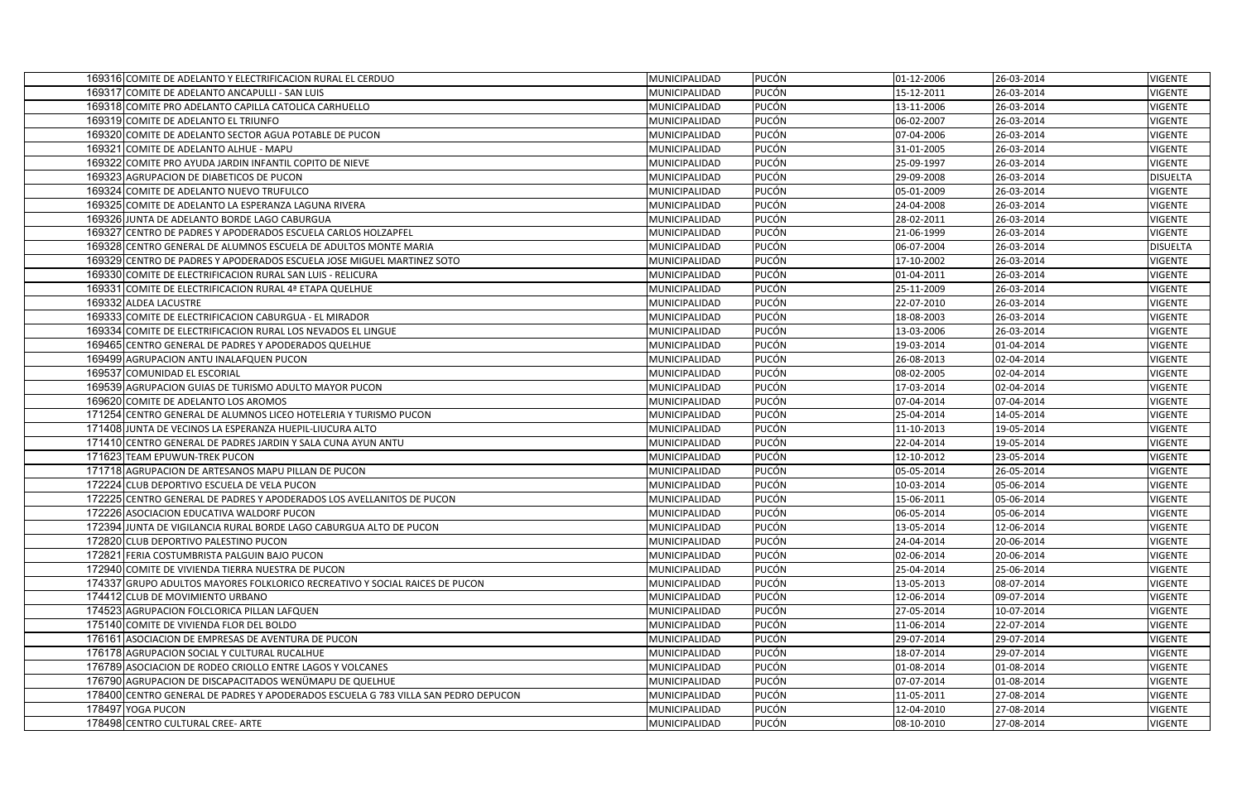| 169316 COMITE DE ADELANTO Y ELECTRIFICACION RURAL EL CERDUO                        | MUNICIPALIDAD | <b>PUCÓN</b> | 01-12-2006 | 26-03-2014 | <b>VIGENTE</b>  |
|------------------------------------------------------------------------------------|---------------|--------------|------------|------------|-----------------|
| 169317 COMITE DE ADELANTO ANCAPULLI - SAN LUIS                                     | MUNICIPALIDAD | <b>PUCÓN</b> | 15-12-2011 | 26-03-2014 | VIGENTE         |
| 169318 COMITE PRO ADELANTO CAPILLA CATOLICA CARHUELLO                              | MUNICIPALIDAD | <b>PUCÓN</b> | 13-11-2006 | 26-03-2014 | VIGENTE         |
| 169319 COMITE DE ADELANTO EL TRIUNFO                                               | MUNICIPALIDAD | <b>PUCÓN</b> | 06-02-2007 | 26-03-2014 | <b>VIGENTE</b>  |
| 169320 COMITE DE ADELANTO SECTOR AGUA POTABLE DE PUCON                             | MUNICIPALIDAD | <b>PUCÓN</b> | 07-04-2006 | 26-03-2014 | VIGENTE         |
| 169321 COMITE DE ADELANTO ALHUE - MAPU                                             | MUNICIPALIDAD | <b>PUCÓN</b> | 31-01-2005 | 26-03-2014 | <b>VIGENTE</b>  |
| 169322 COMITE PRO AYUDA JARDIN INFANTIL COPITO DE NIEVE                            | MUNICIPALIDAD | <b>PUCÓN</b> | 25-09-1997 | 26-03-2014 | <b>VIGENTE</b>  |
| 169323 AGRUPACION DE DIABETICOS DE PUCON                                           | MUNICIPALIDAD | <b>PUCÓN</b> | 29-09-2008 | 26-03-2014 | <b>DISUELTA</b> |
| 169324 COMITE DE ADELANTO NUEVO TRUFULCO                                           | MUNICIPALIDAD | <b>PUCÓN</b> | 05-01-2009 | 26-03-2014 | VIGENTE         |
| 169325 COMITE DE ADELANTO LA ESPERANZA LAGUNA RIVERA                               | MUNICIPALIDAD | <b>PUCÓN</b> | 24-04-2008 | 26-03-2014 | <b>VIGENTE</b>  |
| 169326 JUNTA DE ADELANTO BORDE LAGO CABURGUA                                       | MUNICIPALIDAD | <b>PUCÓN</b> | 28-02-2011 | 26-03-2014 | <b>VIGENTE</b>  |
| 169327 CENTRO DE PADRES Y APODERADOS ESCUELA CARLOS HOLZAPFEL                      | MUNICIPALIDAD | <b>PUCÓN</b> | 21-06-1999 | 26-03-2014 | <b>VIGENTE</b>  |
| 169328 CENTRO GENERAL DE ALUMNOS ESCUELA DE ADULTOS MONTE MARIA                    | MUNICIPALIDAD | <b>PUCÓN</b> | 06-07-2004 | 26-03-2014 | <b>DISUELTA</b> |
| 169329 CENTRO DE PADRES Y APODERADOS ESCUELA JOSE MIGUEL MARTINEZ SOTO             | MUNICIPALIDAD | PUCÓN        | 17-10-2002 | 26-03-2014 | VIGENTE         |
| 169330 COMITE DE ELECTRIFICACION RURAL SAN LUIS - RELICURA                         | MUNICIPALIDAD | <b>PUCÓN</b> | 01-04-2011 | 26-03-2014 | VIGENTE         |
| 169331 COMITE DE ELECTRIFICACION RURAL 4ª ETAPA QUELHUE                            | MUNICIPALIDAD | <b>PUCÓN</b> | 25-11-2009 | 26-03-2014 | <b>VIGENTE</b>  |
| 169332 ALDEA LACUSTRE                                                              | MUNICIPALIDAD | <b>PUCÓN</b> | 22-07-2010 | 26-03-2014 | VIGENTE         |
| 169333 COMITE DE ELECTRIFICACION CABURGUA - EL MIRADOR                             | MUNICIPALIDAD | <b>PUCÓN</b> | 18-08-2003 | 26-03-2014 | <b>VIGENTE</b>  |
| 169334 COMITE DE ELECTRIFICACION RURAL LOS NEVADOS EL LINGUE                       | MUNICIPALIDAD | <b>PUCÓN</b> | 13-03-2006 | 26-03-2014 | VIGENTE         |
| 169465 CENTRO GENERAL DE PADRES Y APODERADOS QUELHUE                               | MUNICIPALIDAD | <b>PUCÓN</b> | 19-03-2014 | 01-04-2014 | VIGENTE         |
| 169499 AGRUPACION ANTU INALAFQUEN PUCON                                            | MUNICIPALIDAD | <b>PUCÓN</b> | 26-08-2013 | 02-04-2014 | <b>VIGENTE</b>  |
| 169537 COMUNIDAD EL ESCORIAL                                                       | MUNICIPALIDAD | <b>PUCÓN</b> | 08-02-2005 | 02-04-2014 | <b>VIGENTE</b>  |
| 169539 AGRUPACION GUIAS DE TURISMO ADULTO MAYOR PUCON                              | MUNICIPALIDAD | <b>PUCÓN</b> | 17-03-2014 | 02-04-2014 | <b>VIGENTE</b>  |
| 169620 COMITE DE ADELANTO LOS AROMOS                                               | MUNICIPALIDAD | <b>PUCÓN</b> | 07-04-2014 | 07-04-2014 | <b>VIGENTE</b>  |
| 171254 CENTRO GENERAL DE ALUMNOS LICEO HOTELERIA Y TURISMO PUCON                   | MUNICIPALIDAD | <b>PUCÓN</b> | 25-04-2014 | 14-05-2014 | <b>VIGENTE</b>  |
| 171408 JUNTA DE VECINOS LA ESPERANZA HUEPIL-LIUCURA ALTO                           | MUNICIPALIDAD | <b>PUCÓN</b> | 11-10-2013 | 19-05-2014 | <b>VIGENTE</b>  |
| 171410 CENTRO GENERAL DE PADRES JARDIN Y SALA CUNA AYUN ANTU                       | MUNICIPALIDAD | <b>PUCÓN</b> | 22-04-2014 | 19-05-2014 | <b>VIGENTE</b>  |
| 171623 TEAM EPUWUN-TREK PUCON                                                      | MUNICIPALIDAD | <b>PUCÓN</b> | 12-10-2012 | 23-05-2014 | <b>VIGENTE</b>  |
| 171718 AGRUPACION DE ARTESANOS MAPU PILLAN DE PUCON                                | MUNICIPALIDAD | <b>PUCÓN</b> | 05-05-2014 | 26-05-2014 | VIGENTE         |
| 172224 CLUB DEPORTIVO ESCUELA DE VELA PUCON                                        | MUNICIPALIDAD | <b>PUCÓN</b> | 10-03-2014 | 05-06-2014 | VIGENTE         |
| 172225 CENTRO GENERAL DE PADRES Y APODERADOS LOS AVELLANITOS DE PUCON              | MUNICIPALIDAD | <b>PUCÓN</b> | 15-06-2011 | 05-06-2014 | VIGENTE         |
| 172226 ASOCIACION EDUCATIVA WALDORF PUCON                                          | MUNICIPALIDAD | <b>PUCÓN</b> | 06-05-2014 | 05-06-2014 | <b>VIGENTE</b>  |
| 172394 JUNTA DE VIGILANCIA RURAL BORDE LAGO CABURGUA ALTO DE PUCON                 | MUNICIPALIDAD | <b>PUCÓN</b> | 13-05-2014 | 12-06-2014 | <b>VIGENTE</b>  |
| 172820 CLUB DEPORTIVO PALESTINO PUCON                                              | MUNICIPALIDAD | <b>PUCÓN</b> | 24-04-2014 | 20-06-2014 | <b>VIGENTE</b>  |
| 172821 FERIA COSTUMBRISTA PALGUIN BAJO PUCON                                       | MUNICIPALIDAD | <b>PUCÓN</b> | 02-06-2014 | 20-06-2014 | VIGENTE         |
| 172940 COMITE DE VIVIENDA TIERRA NUESTRA DE PUCON                                  | MUNICIPALIDAD | <b>PUCÓN</b> | 25-04-2014 | 25-06-2014 | <b>VIGENTE</b>  |
| 174337 GRUPO ADULTOS MAYORES FOLKLORICO RECREATIVO Y SOCIAL RAICES DE PUCON        | MUNICIPALIDAD | <b>PUCÓN</b> | 13-05-2013 | 08-07-2014 | VIGENTE         |
| 174412 CLUB DE MOVIMIENTO URBANO                                                   | MUNICIPALIDAD | <b>PUCÓN</b> | 12-06-2014 | 09-07-2014 | <b>VIGENTE</b>  |
| 174523 AGRUPACION FOLCLORICA PILLAN LAFQUEN                                        | MUNICIPALIDAD | <b>PUCÓN</b> | 27-05-2014 | 10-07-2014 | <b>VIGENTE</b>  |
| 175140 COMITE DE VIVIENDA FLOR DEL BOLDO                                           | MUNICIPALIDAD | <b>PUCÓN</b> | 11-06-2014 | 22-07-2014 | <b>VIGENTE</b>  |
| 176161 ASOCIACION DE EMPRESAS DE AVENTURA DE PUCON                                 | MUNICIPALIDAD | <b>PUCÓN</b> | 29-07-2014 | 29-07-2014 | VIGENTE         |
| 176178 AGRUPACION SOCIAL Y CULTURAL RUCALHUE                                       | MUNICIPALIDAD | <b>PUCÓN</b> | 18-07-2014 | 29-07-2014 | VIGENTE         |
| 176789 ASOCIACION DE RODEO CRIOLLO ENTRE LAGOS Y VOLCANES                          | MUNICIPALIDAD | <b>PUCÓN</b> | 01-08-2014 | 01-08-2014 | <b>VIGENTE</b>  |
| 176790 AGRUPACION DE DISCAPACITADOS WENÜMAPU DE QUELHUE                            | MUNICIPALIDAD | <b>PUCÓN</b> | 07-07-2014 | 01-08-2014 | VIGENTE         |
| 178400 CENTRO GENERAL DE PADRES Y APODERADOS ESCUELA G 783 VILLA SAN PEDRO DEPUCON | MUNICIPALIDAD | <b>PUCÓN</b> | 11-05-2011 | 27-08-2014 | VIGENTE         |
| 178497 YOGA PUCON                                                                  | MUNICIPALIDAD | PUCÓN        | 12-04-2010 | 27-08-2014 | VIGENTE         |
| 178498 CENTRO CULTURAL CREE-ARTE                                                   | MUNICIPALIDAD | <b>PUCÓN</b> | 08-10-2010 | 27-08-2014 | VIGENTE         |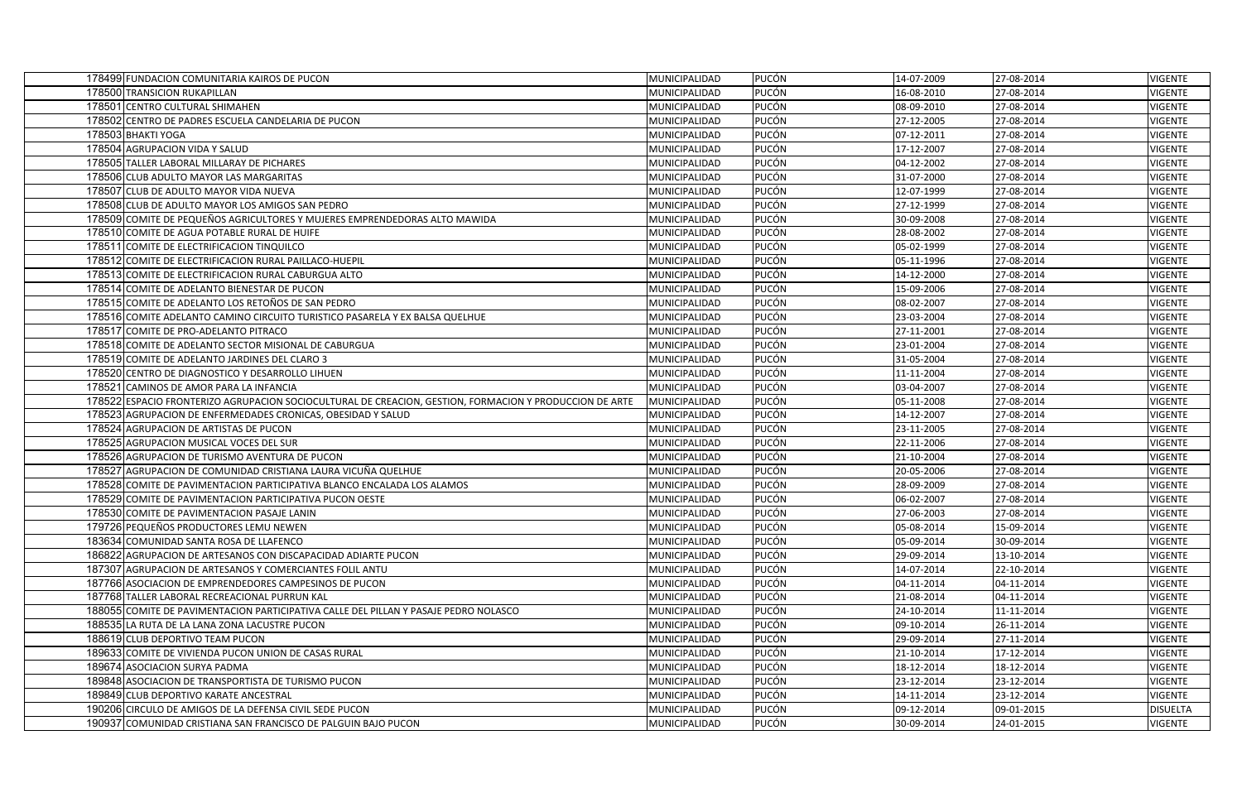| 178499 FUNDACION COMUNITARIA KAIROS DE PUCON                                                            | MUNICIPALIDAD | <b>PUCÓN</b> | 14-07-2009 | 27-08-2014 | <b>VIGENTE</b>  |
|---------------------------------------------------------------------------------------------------------|---------------|--------------|------------|------------|-----------------|
| 178500 TRANSICION RUKAPILLAN                                                                            | MUNICIPALIDAD | PUCÓN        | 16-08-2010 | 27-08-2014 | <b>VIGENTE</b>  |
| 178501 CENTRO CULTURAL SHIMAHEN                                                                         | MUNICIPALIDAD | <b>PUCÓN</b> | 08-09-2010 | 27-08-2014 | <b>VIGENTE</b>  |
| 178502 CENTRO DE PADRES ESCUELA CANDELARIA DE PUCON                                                     | MUNICIPALIDAD | <b>PUCÓN</b> | 27-12-2005 | 27-08-2014 | VIGENTE         |
| 178503 BHAKTI YOGA                                                                                      | MUNICIPALIDAD | <b>PUCÓN</b> | 07-12-2011 | 27-08-2014 | <b>VIGENTE</b>  |
| 178504 AGRUPACION VIDA Y SALUD                                                                          | MUNICIPALIDAD | <b>PUCÓN</b> | 17-12-2007 | 27-08-2014 | VIGENTE         |
| 178505 TALLER LABORAL MILLARAY DE PICHARES                                                              | MUNICIPALIDAD | PUCÓN        | 04-12-2002 | 27-08-2014 | <b>VIGENTE</b>  |
| 178506 CLUB ADULTO MAYOR LAS MARGARITAS                                                                 | MUNICIPALIDAD | <b>PUCÓN</b> | 31-07-2000 | 27-08-2014 | <b>VIGENTE</b>  |
| 178507 CLUB DE ADULTO MAYOR VIDA NUEVA                                                                  | MUNICIPALIDAD | <b>PUCÓN</b> | 12-07-1999 | 27-08-2014 | VIGENTE         |
| 178508 CLUB DE ADULTO MAYOR LOS AMIGOS SAN PEDRO                                                        | MUNICIPALIDAD | PUCÓN        | 27-12-1999 | 27-08-2014 | <b>VIGENTE</b>  |
| 178509 COMITE DE PEQUEÑOS AGRICULTORES Y MUJERES EMPRENDEDORAS ALTO MAWIDA                              | MUNICIPALIDAD | <b>PUCÓN</b> | 30-09-2008 | 27-08-2014 | <b>VIGENTE</b>  |
| 178510 COMITE DE AGUA POTABLE RURAL DE HUIFE                                                            | MUNICIPALIDAD | <b>PUCÓN</b> | 28-08-2002 | 27-08-2014 | VIGENTE         |
| 178511 COMITE DE ELECTRIFICACION TINQUILCO                                                              | MUNICIPALIDAD | PUCÓN        | 05-02-1999 | 27-08-2014 | <b>VIGENTE</b>  |
| 178512 COMITE DE ELECTRIFICACION RURAL PAILLACO-HUEPIL                                                  | MUNICIPALIDAD | <b>PUCÓN</b> | 05-11-1996 | 27-08-2014 | VIGENTE         |
| 178513 COMITE DE ELECTRIFICACION RURAL CABURGUA ALTO                                                    | MUNICIPALIDAD | PUCÓN        | 14-12-2000 | 27-08-2014 | VIGENTE         |
| 178514 COMITE DE ADELANTO BIENESTAR DE PUCON                                                            | MUNICIPALIDAD | PUCÓN        | 15-09-2006 | 27-08-2014 | <b>VIGENTE</b>  |
| 178515 COMITE DE ADELANTO LOS RETOÑOS DE SAN PEDRO                                                      | MUNICIPALIDAD | <b>PUCÓN</b> | 08-02-2007 | 27-08-2014 | VIGENTE         |
| 178516 COMITE ADELANTO CAMINO CIRCUITO TURISTICO PASARELA Y EX BALSA QUELHUE                            | MUNICIPALIDAD | PUCÓN        | 23-03-2004 | 27-08-2014 | <b>VIGENTE</b>  |
| 178517 COMITE DE PRO-ADELANTO PITRACO                                                                   | MUNICIPALIDAD | <b>PUCÓN</b> | 27-11-2001 | 27-08-2014 | <b>VIGENTE</b>  |
| 178518 COMITE DE ADELANTO SECTOR MISIONAL DE CABURGUA                                                   | MUNICIPALIDAD | <b>PUCÓN</b> | 23-01-2004 | 27-08-2014 | VIGENTE         |
| 178519 COMITE DE ADELANTO JARDINES DEL CLARO 3                                                          | MUNICIPALIDAD | <b>PUCÓN</b> | 31-05-2004 | 27-08-2014 | <b>VIGENTE</b>  |
| 178520 CENTRO DE DIAGNOSTICO Y DESARROLLO LIHUEN                                                        | MUNICIPALIDAD | <b>PUCÓN</b> | 11-11-2004 | 27-08-2014 | <b>VIGENTE</b>  |
| 178521 CAMINOS DE AMOR PARA LA INFANCIA                                                                 | MUNICIPALIDAD | <b>PUCÓN</b> | 03-04-2007 | 27-08-2014 | <b>VIGENTE</b>  |
| 178522 ESPACIO FRONTERIZO AGRUPACION SOCIOCULTURAL DE CREACION, GESTION, FORMACION Y PRODUCCION DE ARTE | MUNICIPALIDAD | PUCÓN        | 05-11-2008 | 27-08-2014 | <b>VIGENTE</b>  |
| 178523 AGRUPACION DE ENFERMEDADES CRONICAS, OBESIDAD Y SALUD                                            | MUNICIPALIDAD | <b>PUCÓN</b> | 14-12-2007 | 27-08-2014 | <b>VIGENTE</b>  |
| 178524 AGRUPACION DE ARTISTAS DE PUCON                                                                  | MUNICIPALIDAD | PUCÓN        | 23-11-2005 | 27-08-2014 | <b>VIGENTE</b>  |
| 178525 AGRUPACION MUSICAL VOCES DEL SUR                                                                 | MUNICIPALIDAD | <b>PUCÓN</b> | 22-11-2006 | 27-08-2014 | <b>VIGENTE</b>  |
| 178526 AGRUPACION DE TURISMO AVENTURA DE PUCON                                                          | MUNICIPALIDAD | <b>PUCÓN</b> | 21-10-2004 | 27-08-2014 | <b>VIGENTE</b>  |
| 178527 AGRUPACION DE COMUNIDAD CRISTIANA LAURA VICUÑA QUELHUE                                           | MUNICIPALIDAD | PUCÓN        | 20-05-2006 | 27-08-2014 | <b>VIGENTE</b>  |
| 178528 COMITE DE PAVIMENTACION PARTICIPATIVA BLANCO ENCALADA LOS ALAMOS                                 | MUNICIPALIDAD | <b>PUCÓN</b> | 28-09-2009 | 27-08-2014 | VIGENTE         |
| 178529 COMITE DE PAVIMENTACION PARTICIPATIVA PUCON OESTE                                                | MUNICIPALIDAD | <b>PUCÓN</b> | 06-02-2007 | 27-08-2014 | <b>VIGENTE</b>  |
| 178530 COMITE DE PAVIMENTACION PASAJE LANIN                                                             | MUNICIPALIDAD | <b>PUCÓN</b> | 27-06-2003 | 27-08-2014 | <b>VIGENTE</b>  |
| 179726 PEQUEÑOS PRODUCTORES LEMU NEWEN                                                                  | MUNICIPALIDAD | <b>PUCÓN</b> | 05-08-2014 | 15-09-2014 | <b>VIGENTE</b>  |
| 183634 COMUNIDAD SANTA ROSA DE LLAFENCO                                                                 | MUNICIPALIDAD | PUCÓN        | 05-09-2014 | 30-09-2014 | VIGENTE         |
| 186822 AGRUPACION DE ARTESANOS CON DISCAPACIDAD ADIARTE PUCON                                           | MUNICIPALIDAD | <b>PUCÓN</b> | 29-09-2014 | 13-10-2014 | <b>VIGENTE</b>  |
| 187307 AGRUPACION DE ARTESANOS Y COMERCIANTES FOLIL ANTU                                                | MUNICIPALIDAD | <b>PUCÓN</b> | 14-07-2014 | 22-10-2014 | <b>VIGENTE</b>  |
| 187766 ASOCIACION DE EMPRENDEDORES CAMPESINOS DE PUCON                                                  | MUNICIPALIDAD | <b>PUCÓN</b> | 04-11-2014 | 04-11-2014 | VIGENTE         |
| 187768 TALLER LABORAL RECREACIONAL PURRUN KAL                                                           | MUNICIPALIDAD | PUCÓN        | 21-08-2014 | 04-11-2014 | <b>VIGENTE</b>  |
| 188055 COMITE DE PAVIMENTACION PARTICIPATIVA CALLE DEL PILLAN Y PASAJE PEDRO NOLASCO                    | MUNICIPALIDAD | <b>PUCÓN</b> | 24-10-2014 | 11-11-2014 | <b>VIGENTE</b>  |
| 188535 LA RUTA DE LA LANA ZONA LACUSTRE PUCON                                                           | MUNICIPALIDAD | PUCÓN        | 09-10-2014 | 26-11-2014 | VIGENTE         |
| 188619 CLUB DEPORTIVO TEAM PUCON                                                                        | MUNICIPALIDAD | <b>PUCÓN</b> | 29-09-2014 | 27-11-2014 | VIGENTE         |
| 189633 COMITE DE VIVIENDA PUCON UNION DE CASAS RURAL                                                    | MUNICIPALIDAD | <b>PUCÓN</b> | 21-10-2014 | 17-12-2014 | <b>VIGENTE</b>  |
| 189674 ASOCIACION SURYA PADMA                                                                           | MUNICIPALIDAD | <b>PUCÓN</b> | 18-12-2014 | 18-12-2014 | <b>VIGENTE</b>  |
| 189848 ASOCIACION DE TRANSPORTISTA DE TURISMO PUCON                                                     | MUNICIPALIDAD | <b>PUCÓN</b> | 23-12-2014 | 23-12-2014 | <b>VIGENTE</b>  |
| 189849 CLUB DEPORTIVO KARATE ANCESTRAL                                                                  | MUNICIPALIDAD | <b>PUCÓN</b> | 14-11-2014 | 23-12-2014 | VIGENTE         |
| 190206 CIRCULO DE AMIGOS DE LA DEFENSA CIVIL SEDE PUCON                                                 | MUNICIPALIDAD | PUCÓN        | 09-12-2014 | 09-01-2015 | <b>DISUELTA</b> |
| 190937 COMUNIDAD CRISTIANA SAN FRANCISCO DE PALGUIN BAJO PUCON                                          | MUNICIPALIDAD | PUCÓN        | 30-09-2014 | 24-01-2015 | <b>VIGENTE</b>  |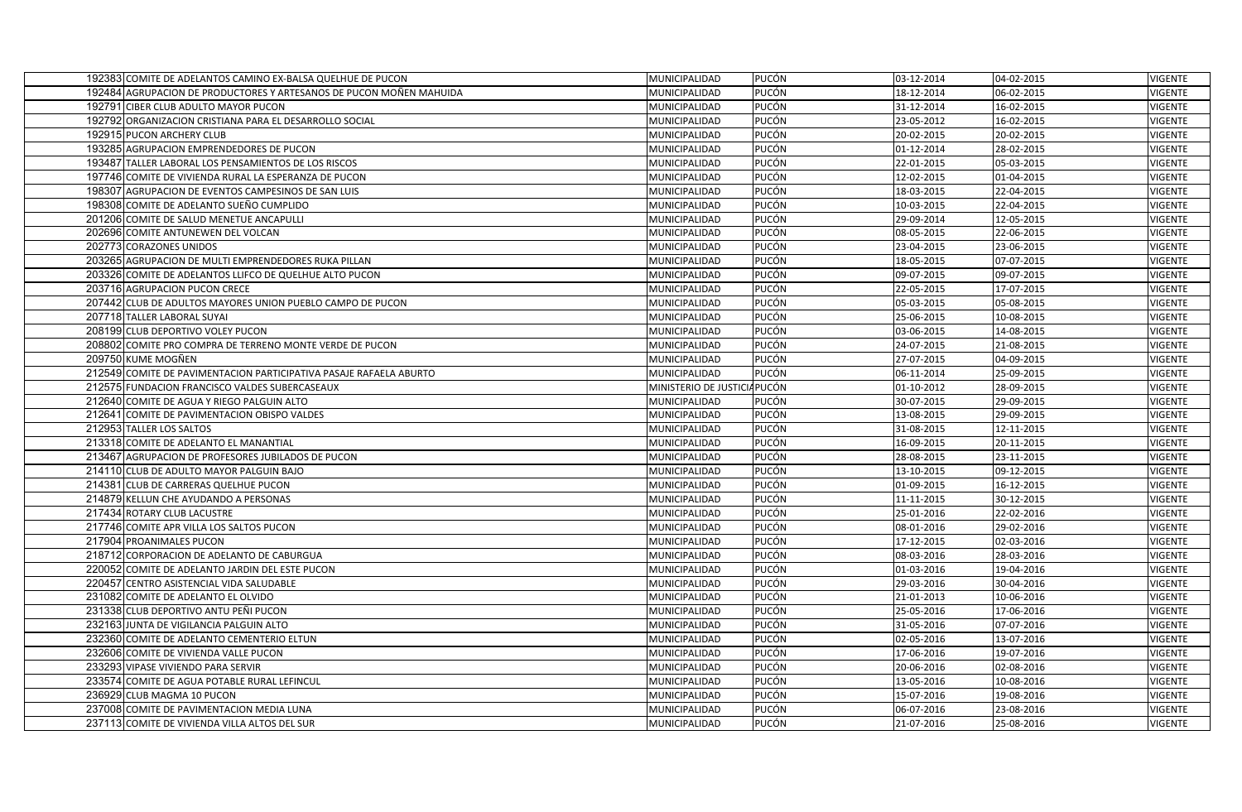| 192383 COMITE DE ADELANTOS CAMINO EX-BALSA QUELHUE DE PUCON                                | MUNICIPALIDAD                  | <b>PUCÓN</b>          | 03-12-2014               | 04-02-2015               | <b>VIGENTE</b>            |
|--------------------------------------------------------------------------------------------|--------------------------------|-----------------------|--------------------------|--------------------------|---------------------------|
| 192484 AGRUPACION DE PRODUCTORES Y ARTESANOS DE PUCON MOÑEN MAHUIDA                        | MUNICIPALIDAD                  | <b>PUCÓN</b>          | 18-12-2014               | 06-02-2015               | <b>VIGENTE</b>            |
| 192791 CIBER CLUB ADULTO MAYOR PUCON                                                       | MUNICIPALIDAD                  | <b>PUCÓN</b>          | 31-12-2014               | 16-02-2015               | VIGENTE                   |
| 192792 ORGANIZACION CRISTIANA PARA EL DESARROLLO SOCIAL                                    | MUNICIPALIDAD                  | <b>PUCÓN</b>          | 23-05-2012               | 16-02-2015               | <b>VIGENTE</b>            |
| 192915 PUCON ARCHERY CLUB                                                                  | MUNICIPALIDAD                  | <b>PUCÓN</b>          | 20-02-2015               | 20-02-2015               | <b>VIGENTE</b>            |
| 193285 AGRUPACION EMPRENDEDORES DE PUCON                                                   | MUNICIPALIDAD                  | PUCÓN                 | 01-12-2014               | 28-02-2015               | <b>VIGENTE</b>            |
| 193487 TALLER LABORAL LOS PENSAMIENTOS DE LOS RISCOS                                       | MUNICIPALIDAD                  | PUCÓN                 | 22-01-2015               | 05-03-2015               | <b>VIGENTE</b>            |
| 197746 COMITE DE VIVIENDA RURAL LA ESPERANZA DE PUCON                                      | MUNICIPALIDAD                  | <b>PUCÓN</b>          | 12-02-2015               | 01-04-2015               | VIGENTE                   |
| 198307 AGRUPACION DE EVENTOS CAMPESINOS DE SAN LUIS                                        | MUNICIPALIDAD                  | <b>PUCÓN</b>          | 18-03-2015               | 22-04-2015               | <b>VIGENTE</b>            |
| 198308 COMITE DE ADELANTO SUEÑO CUMPLIDO                                                   | MUNICIPALIDAD                  | <b>PUCÓN</b>          | 10-03-2015               | 22-04-2015               | <b>VIGENTE</b>            |
| 201206 COMITE DE SALUD MENETUE ANCAPULLI                                                   | MUNICIPALIDAD                  | <b>PUCÓN</b>          | 29-09-2014               | 12-05-2015               | <b>VIGENTE</b>            |
| 202696 COMITE ANTUNEWEN DEL VOLCAN                                                         | MUNICIPALIDAD                  | <b>PUCÓN</b>          | 08-05-2015               | 22-06-2015               | <b>VIGENTE</b>            |
| 202773 CORAZONES UNIDOS                                                                    | MUNICIPALIDAD                  | PUCÓN                 | 23-04-2015               | 23-06-2015               | <b>VIGENTE</b>            |
| 203265 AGRUPACION DE MULTI EMPRENDEDORES RUKA PILLAN                                       | MUNICIPALIDAD                  | <b>PUCÓN</b>          | 18-05-2015               | 07-07-2015               | <b>VIGENTE</b>            |
| 203326 COMITE DE ADELANTOS LLIFCO DE QUELHUE ALTO PUCON                                    | MUNICIPALIDAD                  | <b>PUCÓN</b>          | 09-07-2015               | 09-07-2015               | <b>VIGENTE</b>            |
| 203716 AGRUPACION PUCON CRECE                                                              | MUNICIPALIDAD                  | <b>PUCÓN</b>          | 22-05-2015               | 17-07-2015               | <b>VIGENTE</b>            |
| 207442 CLUB DE ADULTOS MAYORES UNION PUEBLO CAMPO DE PUCON                                 | MUNICIPALIDAD                  | PUCÓN                 | 05-03-2015               | 05-08-2015               | VIGENTE                   |
| 207718 TALLER LABORAL SUYAI                                                                | MUNICIPALIDAD                  | PUCÓN                 | 25-06-2015               | 10-08-2015               | <b>VIGENTE</b>            |
| 208199 CLUB DEPORTIVO VOLEY PUCON                                                          | MUNICIPALIDAD                  | <b>PUCÓN</b>          | 03-06-2015               | 14-08-2015               | <b>VIGENTE</b>            |
| 208802 COMITE PRO COMPRA DE TERRENO MONTE VERDE DE PUCON                                   | MUNICIPALIDAD                  | PUCÓN                 | 24-07-2015               | 21-08-2015               | VIGENTE                   |
| 209750 KUME MOGÑEN                                                                         | MUNICIPALIDAD                  | PUCÓN                 | 27-07-2015               | 04-09-2015               | <b>VIGENTE</b>            |
| 212549 COMITE DE PAVIMENTACION PARTICIPATIVA PASAJE RAFAELA ABURTO                         | MUNICIPALIDAD                  | <b>PUCÓN</b>          | 06-11-2014               | 25-09-2015               | <b>VIGENTE</b>            |
| 212575 FUNDACION FRANCISCO VALDES SUBERCASEAUX                                             | MINISTERIO DE JUSTICIA PUCÓN   |                       | 01-10-2012               | 28-09-2015               | <b>VIGENTE</b>            |
| 212640 COMITE DE AGUA Y RIEGO PALGUIN ALTO                                                 | MUNICIPALIDAD                  | PUCÓN                 | 30-07-2015               | 29-09-2015               | <b>VIGENTE</b>            |
| 212641 COMITE DE PAVIMENTACION OBISPO VALDES                                               | MUNICIPALIDAD                  | <b>PUCÓN</b>          | 13-08-2015               | 29-09-2015               | <b>VIGENTE</b>            |
| 212953 TALLER LOS SALTOS                                                                   | MUNICIPALIDAD                  | <b>PUCÓN</b>          | 31-08-2015               | 12-11-2015               | <b>VIGENTE</b>            |
| 213318 COMITE DE ADELANTO EL MANANTIAL                                                     | MUNICIPALIDAD                  | <b>PUCÓN</b>          | 16-09-2015               | 20-11-2015               | <b>VIGENTE</b>            |
| 213467 AGRUPACION DE PROFESORES JUBILADOS DE PUCON                                         | MUNICIPALIDAD                  | <b>PUCÓN</b>          | 28-08-2015               | 23-11-2015               | <b>VIGENTE</b>            |
| 214110 CLUB DE ADULTO MAYOR PALGUIN BAJO                                                   | MUNICIPALIDAD                  | PUCÓN                 | 13-10-2015               | 09-12-2015               | <b>VIGENTE</b>            |
| 214381 CLUB DE CARRERAS QUELHUE PUCON                                                      | MUNICIPALIDAD                  | <b>PUCÓN</b>          | 01-09-2015               | 16-12-2015               | VIGENTE                   |
| 214879 KELLUN CHE AYUDANDO A PERSONAS                                                      |                                | <b>PUCÓN</b>          |                          | 30-12-2015               | <b>VIGENTE</b>            |
|                                                                                            | MUNICIPALIDAD                  |                       | 11-11-2015               |                          |                           |
| 217434 ROTARY CLUB LACUSTRE                                                                | MUNICIPALIDAD                  | <b>PUCÓN</b>          | 25-01-2016               | 22-02-2016               | <b>VIGENTE</b>            |
| 217746 COMITE APR VILLA LOS SALTOS PUCON                                                   | MUNICIPALIDAD                  | <b>PUCÓN</b>          | 08-01-2016               | 29-02-2016               | <b>VIGENTE</b>            |
| 217904 PROANIMALES PUCON                                                                   | MUNICIPALIDAD                  | <b>PUCÓN</b>          | 17-12-2015               | 02-03-2016               | <b>VIGENTE</b>            |
| 218712 CORPORACION DE ADELANTO DE CABURGUA                                                 | MUNICIPALIDAD                  | <b>PUCÓN</b>          | 08-03-2016               | 28-03-2016               | VIGENTE                   |
| 220052 COMITE DE ADELANTO JARDIN DEL ESTE PUCON                                            | MUNICIPALIDAD                  | <b>PUCÓN</b>          | 01-03-2016               | 19-04-2016               | <b>VIGENTE</b>            |
| 220457 CENTRO ASISTENCIAL VIDA SALUDABLE                                                   | MUNICIPALIDAD                  | <b>PUCÓN</b>          | 29-03-2016               | 30-04-2016               | <b>VIGENTE</b>            |
| 231082 COMITE DE ADELANTO EL OLVIDO                                                        | MUNICIPALIDAD                  | <b>PUCÓN</b>          | 21-01-2013               | 10-06-2016               | <b>VIGENTE</b>            |
| 231338 CLUB DEPORTIVO ANTU PEÑI PUCON                                                      | MUNICIPALIDAD                  | <b>PUCÓN</b>          | 25-05-2016               | 17-06-2016               | <b>VIGENTE</b>            |
| 232163 JUNTA DE VIGILANCIA PALGUIN ALTO                                                    | MUNICIPALIDAD                  | <b>PUCÓN</b>          | 31-05-2016               | 07-07-2016               | <b>VIGENTE</b>            |
| 232360 COMITE DE ADELANTO CEMENTERIO ELTUN                                                 | MUNICIPALIDAD                  | <b>PUCÓN</b>          | 02-05-2016               | 13-07-2016               | <b>VIGENTE</b>            |
| 232606 COMITE DE VIVIENDA VALLE PUCON                                                      | MUNICIPALIDAD                  | PUCÓN                 | 17-06-2016               | 19-07-2016               | VIGENTE                   |
| 233293 VIPASE VIVIENDO PARA SERVIR                                                         | MUNICIPALIDAD                  | <b>PUCÓN</b>          | 20-06-2016               | 02-08-2016               | <b>VIGENTE</b>            |
| 233574 COMITE DE AGUA POTABLE RURAL LEFINCUL                                               | MUNICIPALIDAD                  | <b>PUCÓN</b>          | 13-05-2016               | 10-08-2016               | <b>VIGENTE</b>            |
| 236929 CLUB MAGMA 10 PUCON                                                                 | MUNICIPALIDAD                  | PUCÓN                 | 15-07-2016               | 19-08-2016               | VIGENTE                   |
| 237008 COMITE DE PAVIMENTACION MEDIA LUNA<br>237113 COMITE DE VIVIENDA VILLA ALTOS DEL SUR | MUNICIPALIDAD<br>MUNICIPALIDAD | PUCÓN<br><b>PUCÓN</b> | 06-07-2016<br>21-07-2016 | 23-08-2016<br>25-08-2016 | VIGENTE<br><b>VIGENTE</b> |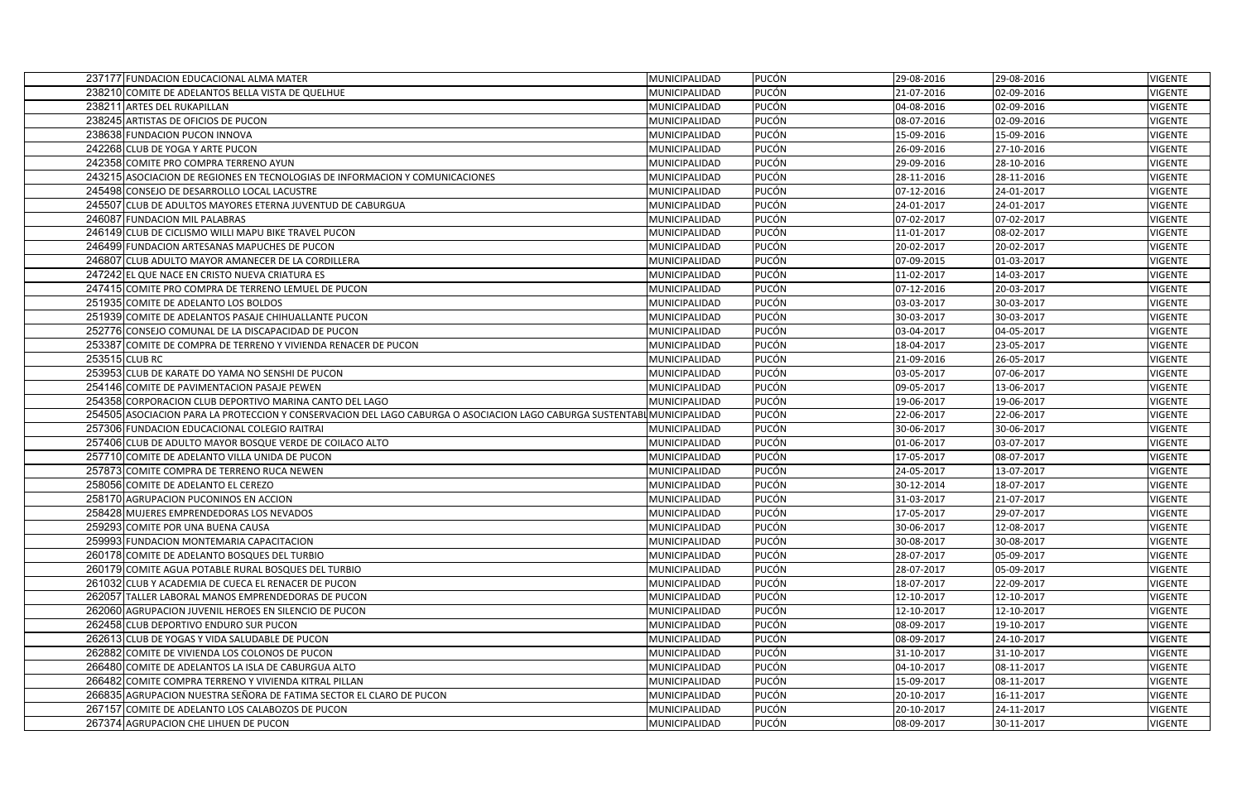| 237177 FUNDACION EDUCACIONAL ALMA MATER                                                                                 | MUNICIPALIDAD | <b>PUCÓN</b> | 29-08-2016 | 29-08-2016 | <b>VIGENTE</b> |
|-------------------------------------------------------------------------------------------------------------------------|---------------|--------------|------------|------------|----------------|
| 238210 COMITE DE ADELANTOS BELLA VISTA DE QUELHUE                                                                       | MUNICIPALIDAD | PUCÓN        | 21-07-2016 | 02-09-2016 | <b>VIGENTE</b> |
| 238211 ARTES DEL RUKAPILLAN                                                                                             | MUNICIPALIDAD | <b>PUCÓN</b> | 04-08-2016 | 02-09-2016 | <b>VIGENTE</b> |
| 238245 ARTISTAS DE OFICIOS DE PUCON                                                                                     | MUNICIPALIDAD | <b>PUCÓN</b> | 08-07-2016 | 02-09-2016 | VIGENTE        |
| 238638 FUNDACION PUCON INNOVA                                                                                           | MUNICIPALIDAD | PUCÓN        | 15-09-2016 | 15-09-2016 | <b>VIGENTE</b> |
| 242268 CLUB DE YOGA Y ARTE PUCON                                                                                        | MUNICIPALIDAD | <b>PUCÓN</b> | 26-09-2016 | 27-10-2016 | VIGENTE        |
| 242358 COMITE PRO COMPRA TERRENO AYUN                                                                                   | MUNICIPALIDAD | <b>PUCÓN</b> | 29-09-2016 | 28-10-2016 | <b>VIGENTE</b> |
| 243215 ASOCIACION DE REGIONES EN TECNOLOGIAS DE INFORMACION Y COMUNICACIONES                                            | MUNICIPALIDAD | <b>PUCÓN</b> | 28-11-2016 | 28-11-2016 | <b>VIGENTE</b> |
| 245498 CONSEJO DE DESARROLLO LOCAL LACUSTRE                                                                             | MUNICIPALIDAD | <b>PUCÓN</b> | 07-12-2016 | 24-01-2017 | <b>VIGENTE</b> |
| 245507 CLUB DE ADULTOS MAYORES ETERNA JUVENTUD DE CABURGUA                                                              | MUNICIPALIDAD | <b>PUCÓN</b> | 24-01-2017 | 24-01-2017 | <b>VIGENTE</b> |
| 246087 FUNDACION MIL PALABRAS                                                                                           | MUNICIPALIDAD | <b>PUCÓN</b> | 07-02-2017 | 07-02-2017 | <b>VIGENTE</b> |
| 246149 CLUB DE CICLISMO WILLI MAPU BIKE TRAVEL PUCON                                                                    | MUNICIPALIDAD | <b>PUCÓN</b> | 11-01-2017 | 08-02-2017 | <b>VIGENTE</b> |
| 246499 FUNDACION ARTESANAS MAPUCHES DE PUCON                                                                            | MUNICIPALIDAD | PUCÓN        | 20-02-2017 | 20-02-2017 | <b>VIGENTE</b> |
| 246807 CLUB ADULTO MAYOR AMANECER DE LA CORDILLERA                                                                      | MUNICIPALIDAD | PUCÓN        | 07-09-2015 | 01-03-2017 | <b>VIGENTE</b> |
| 247242 EL QUE NACE EN CRISTO NUEVA CRIATURA ES                                                                          | MUNICIPALIDAD | <b>PUCÓN</b> | 11-02-2017 | 14-03-2017 | <b>VIGENTE</b> |
| 247415 COMITE PRO COMPRA DE TERRENO LEMUEL DE PUCON                                                                     | MUNICIPALIDAD | PUCÓN        | 07-12-2016 | 20-03-2017 | <b>VIGENTE</b> |
| 251935 COMITE DE ADELANTO LOS BOLDOS                                                                                    | MUNICIPALIDAD | PUCÓN        | 03-03-2017 | 30-03-2017 | <b>VIGENTE</b> |
| 251939 COMITE DE ADELANTOS PASAJE CHIHUALLANTE PUCON                                                                    | MUNICIPALIDAD | PUCÓN        | 30-03-2017 | 30-03-2017 | <b>VIGENTE</b> |
| 252776 CONSEJO COMUNAL DE LA DISCAPACIDAD DE PUCON                                                                      | MUNICIPALIDAD | PUCÓN        | 03-04-2017 | 04-05-2017 | <b>VIGENTE</b> |
| 253387 COMITE DE COMPRA DE TERRENO Y VIVIENDA RENACER DE PUCON                                                          | MUNICIPALIDAD | <b>PUCÓN</b> | 18-04-2017 | 23-05-2017 | <b>VIGENTE</b> |
| 253515 CLUB RC                                                                                                          | MUNICIPALIDAD | <b>PUCÓN</b> | 21-09-2016 | 26-05-2017 | <b>VIGENTE</b> |
| 253953 CLUB DE KARATE DO YAMA NO SENSHI DE PUCON                                                                        | MUNICIPALIDAD | <b>PUCÓN</b> | 03-05-2017 | 07-06-2017 | <b>VIGENTE</b> |
| 254146 COMITE DE PAVIMENTACION PASAJE PEWEN                                                                             | MUNICIPALIDAD | <b>PUCÓN</b> | 09-05-2017 | 13-06-2017 | <b>VIGENTE</b> |
| 254358 CORPORACION CLUB DEPORTIVO MARINA CANTO DEL LAGO                                                                 | MUNICIPALIDAD | <b>PUCÓN</b> | 19-06-2017 | 19-06-2017 | <b>VIGENTE</b> |
| 254505 ASOCIACION PARA LA PROTECCION Y CONSERVACION DEL LAGO CABURGA O ASOCIACION LAGO CABURGA SUSTENTABL MUNICIPALIDAD |               | <b>PUCÓN</b> | 22-06-2017 | 22-06-2017 | VIGENTE        |
| 257306 FUNDACION EDUCACIONAL COLEGIO RAITRAI                                                                            | MUNICIPALIDAD | <b>PUCÓN</b> | 30-06-2017 | 30-06-2017 | <b>VIGENTE</b> |
| 257406 CLUB DE ADULTO MAYOR BOSQUE VERDE DE COILACO ALTO                                                                | MUNICIPALIDAD | <b>PUCÓN</b> | 01-06-2017 | 03-07-2017 | VIGENTE        |
| 257710 COMITE DE ADELANTO VILLA UNIDA DE PUCON                                                                          | MUNICIPALIDAD | PUCÓN        | 17-05-2017 | 08-07-2017 | <b>VIGENTE</b> |
| 257873 COMITE COMPRA DE TERRENO RUCA NEWEN                                                                              | MUNICIPALIDAD | <b>PUCÓN</b> | 24-05-2017 | 13-07-2017 | <b>VIGENTE</b> |
| 258056 COMITE DE ADELANTO EL CEREZO                                                                                     | MUNICIPALIDAD | <b>PUCÓN</b> | 30-12-2014 | 18-07-2017 | VIGENTE        |
| 258170 AGRUPACION PUCONINOS EN ACCION                                                                                   | MUNICIPALIDAD | <b>PUCÓN</b> | 31-03-2017 | 21-07-2017 | <b>VIGENTE</b> |
| 258428 MUJERES EMPRENDEDORAS LOS NEVADOS                                                                                | MUNICIPALIDAD | <b>PUCÓN</b> | 17-05-2017 | 29-07-2017 | <b>VIGENTE</b> |
| 259293 COMITE POR UNA BUENA CAUSA                                                                                       | MUNICIPALIDAD | <b>PUCÓN</b> | 30-06-2017 | 12-08-2017 | VIGENTE        |
| 259993 FUNDACION MONTEMARIA CAPACITACION                                                                                | MUNICIPALIDAD | PUCÓN        | 30-08-2017 | 30-08-2017 | <b>VIGENTE</b> |
| 260178 COMITE DE ADELANTO BOSQUES DEL TURBIO                                                                            | MUNICIPALIDAD | <b>PUCÓN</b> | 28-07-2017 | 05-09-2017 | VIGENTE        |
| 260179 COMITE AGUA POTABLE RURAL BOSQUES DEL TURBIO                                                                     | MUNICIPALIDAD | <b>PUCÓN</b> | 28-07-2017 | 05-09-2017 | VIGENTE        |
| 261032 CLUB Y ACADEMIA DE CUECA EL RENACER DE PUCON                                                                     | MUNICIPALIDAD | <b>PUCÓN</b> | 18-07-2017 | 22-09-2017 | <b>VIGENTE</b> |
| 262057 TALLER LABORAL MANOS EMPRENDEDORAS DE PUCON                                                                      | MUNICIPALIDAD | <b>PUCÓN</b> | 12-10-2017 | 12-10-2017 | VIGENTE        |
| 262060 AGRUPACION JUVENIL HEROES EN SILENCIO DE PUCON                                                                   | MUNICIPALIDAD | <b>PUCÓN</b> | 12-10-2017 | 12-10-2017 | VIGENTE        |
| 262458 CLUB DEPORTIVO ENDURO SUR PUCON                                                                                  | MUNICIPALIDAD | <b>PUCÓN</b> | 08-09-2017 | 19-10-2017 | VIGENTE        |
| 262613 CLUB DE YOGAS Y VIDA SALUDABLE DE PUCON                                                                          | MUNICIPALIDAD | <b>PUCÓN</b> | 08-09-2017 | 24-10-2017 | VIGENTE        |
| 262882 COMITE DE VIVIENDA LOS COLONOS DE PUCON                                                                          | MUNICIPALIDAD | <b>PUCÓN</b> | 31-10-2017 | 31-10-2017 | VIGENTE        |
| 266480 COMITE DE ADELANTOS LA ISLA DE CABURGUA ALTO                                                                     | MUNICIPALIDAD | PUCÓN        | 04-10-2017 | 08-11-2017 | <b>VIGENTE</b> |
| 266482 COMITE COMPRA TERRENO Y VIVIENDA KITRAL PILLAN                                                                   | MUNICIPALIDAD | PUCÓN        | 15-09-2017 | 08-11-2017 | VIGENTE        |
| 266835 AGRUPACION NUESTRA SEÑORA DE FATIMA SECTOR EL CLARO DE PUCON                                                     | MUNICIPALIDAD | PUCÓN        | 20-10-2017 | 16-11-2017 | <b>VIGENTE</b> |
| 267157 COMITE DE ADELANTO LOS CALABOZOS DE PUCON                                                                        | MUNICIPALIDAD | PUCÓN        | 20-10-2017 | 24-11-2017 | VIGENTE        |
| 267374 AGRUPACION CHE LIHUEN DE PUCON                                                                                   | MUNICIPALIDAD | <b>PUCÓN</b> | 08-09-2017 | 30-11-2017 | VIGENTE        |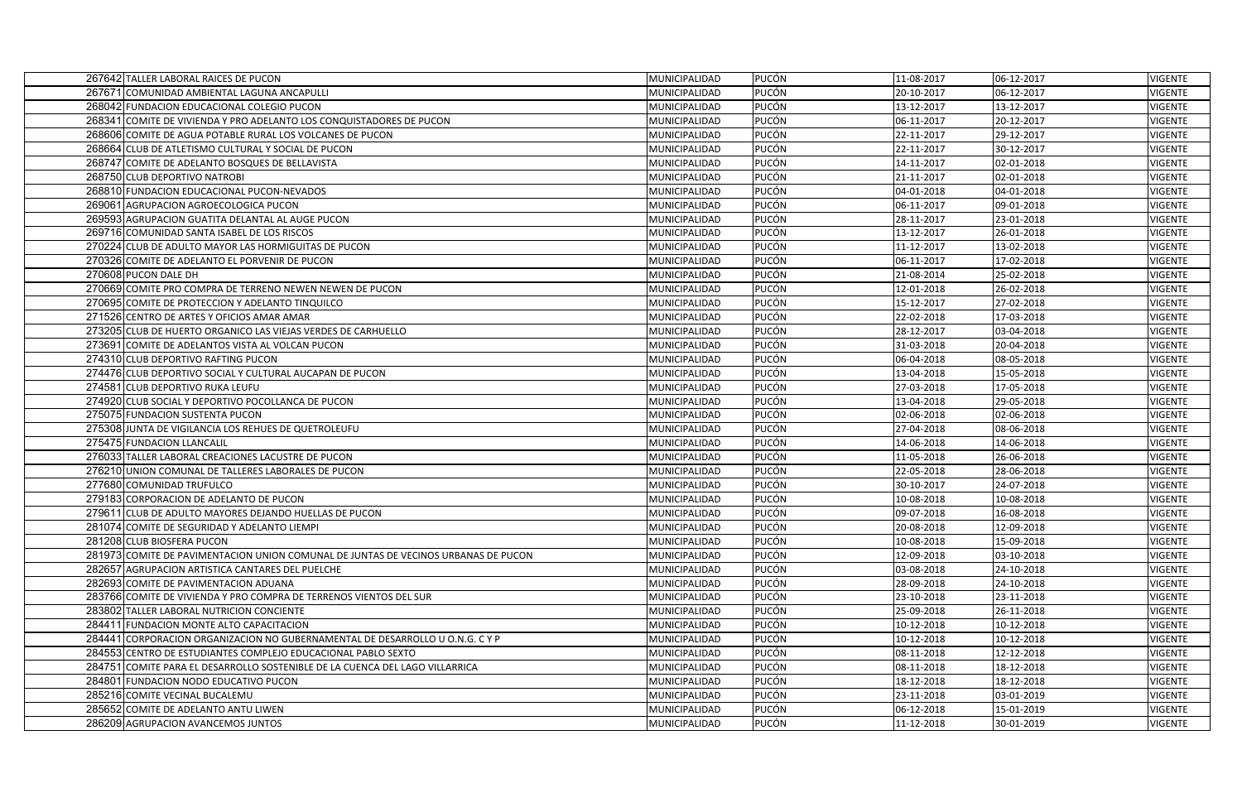| 267642 TALLER LABORAL RAICES DE PUCON                                              | MUNICIPALIDAD | PUCÓN        | 11-08-2017 | 06-12-2017 | <b>VIGENTE</b> |
|------------------------------------------------------------------------------------|---------------|--------------|------------|------------|----------------|
| 267671 COMUNIDAD AMBIENTAL LAGUNA ANCAPULLI                                        | MUNICIPALIDAD | <b>PUCÓN</b> | 20-10-2017 | 06-12-2017 | VIGENTE        |
| 268042 FUNDACION EDUCACIONAL COLEGIO PUCON                                         | MUNICIPALIDAD | <b>PUCÓN</b> | 13-12-2017 | 13-12-2017 | VIGENTE        |
| 268341 COMITE DE VIVIENDA Y PRO ADELANTO LOS CONQUISTADORES DE PUCON               | MUNICIPALIDAD | <b>PUCÓN</b> | 06-11-2017 | 20-12-2017 | <b>VIGENTE</b> |
| 268606 COMITE DE AGUA POTABLE RURAL LOS VOLCANES DE PUCON                          | MUNICIPALIDAD | <b>PUCÓN</b> | 22-11-2017 | 29-12-2017 | <b>VIGENTE</b> |
| 268664 CLUB DE ATLETISMO CULTURAL Y SOCIAL DE PUCON                                | MUNICIPALIDAD | <b>PUCÓN</b> | 22-11-2017 | 30-12-2017 | VIGENTE        |
| 268747 COMITE DE ADELANTO BOSQUES DE BELLAVISTA                                    | MUNICIPALIDAD | <b>PUCÓN</b> | 14-11-2017 | 02-01-2018 | VIGENTE        |
| 268750 CLUB DEPORTIVO NATROBI                                                      | MUNICIPALIDAD | <b>PUCÓN</b> | 21-11-2017 | 02-01-2018 | <b>VIGENTE</b> |
| 268810 FUNDACION EDUCACIONAL PUCON-NEVADOS                                         | MUNICIPALIDAD | <b>PUCÓN</b> | 04-01-2018 | 04-01-2018 | <b>VIGENTE</b> |
| 269061 AGRUPACION AGROECOLOGICA PUCON                                              | MUNICIPALIDAD | <b>PUCÓN</b> | 06-11-2017 | 09-01-2018 | <b>VIGENTE</b> |
| 269593 AGRUPACION GUATITA DELANTAL AL AUGE PUCON                                   | MUNICIPALIDAD | PUCÓN        | 28-11-2017 | 23-01-2018 | <b>VIGENTE</b> |
| 269716 COMUNIDAD SANTA ISABEL DE LOS RISCOS                                        | MUNICIPALIDAD | <b>PUCÓN</b> | 13-12-2017 | 26-01-2018 | <b>VIGENTE</b> |
| 270224 CLUB DE ADULTO MAYOR LAS HORMIGUITAS DE PUCON                               | MUNICIPALIDAD | <b>PUCÓN</b> | 11-12-2017 | 13-02-2018 | <b>VIGENTE</b> |
| 270326 COMITE DE ADELANTO EL PORVENIR DE PUCON                                     | MUNICIPALIDAD | PUCÓN        | 06-11-2017 | 17-02-2018 | <b>VIGENTE</b> |
| 270608 PUCON DALE DH                                                               | MUNICIPALIDAD | <b>PUCÓN</b> | 21-08-2014 | 25-02-2018 | <b>VIGENTE</b> |
| 270669 COMITE PRO COMPRA DE TERRENO NEWEN NEWEN DE PUCON                           | MUNICIPALIDAD | <b>PUCÓN</b> | 12-01-2018 | 26-02-2018 | <b>VIGENTE</b> |
| 270695 COMITE DE PROTECCION Y ADELANTO TINQUILCO                                   | MUNICIPALIDAD | <b>PUCÓN</b> | 15-12-2017 | 27-02-2018 | <b>VIGENTE</b> |
| 271526 CENTRO DE ARTES Y OFICIOS AMAR AMAR                                         | MUNICIPALIDAD | PUCÓN        | 22-02-2018 | 17-03-2018 | <b>VIGENTE</b> |
| 273205 CLUB DE HUERTO ORGANICO LAS VIEJAS VERDES DE CARHUELLO                      | MUNICIPALIDAD | <b>PUCÓN</b> | 28-12-2017 | 03-04-2018 | <b>VIGENTE</b> |
| 273691 COMITE DE ADELANTOS VISTA AL VOLCAN PUCON                                   | MUNICIPALIDAD | <b>PUCÓN</b> | 31-03-2018 | 20-04-2018 | <b>VIGENTE</b> |
| 274310 CLUB DEPORTIVO RAFTING PUCON                                                | MUNICIPALIDAD | PUCÓN        | 06-04-2018 | 08-05-2018 | <b>VIGENTE</b> |
| 274476 CLUB DEPORTIVO SOCIAL Y CULTURAL AUCAPAN DE PUCON                           | MUNICIPALIDAD | PUCÓN        | 13-04-2018 | 15-05-2018 | <b>VIGENTE</b> |
| 274581 CLUB DEPORTIVO RUKA LEUFU                                                   | MUNICIPALIDAD | <b>PUCÓN</b> | 27-03-2018 | 17-05-2018 | <b>VIGENTE</b> |
| 274920 CLUB SOCIAL Y DEPORTIVO POCOLLANCA DE PUCON                                 | MUNICIPALIDAD | <b>PUCÓN</b> | 13-04-2018 | 29-05-2018 | <b>VIGENTE</b> |
| 275075 FUNDACION SUSTENTA PUCON                                                    | MUNICIPALIDAD | <b>PUCÓN</b> | 02-06-2018 | 02-06-2018 | VIGENTE        |
| 275308 JUNTA DE VIGILANCIA LOS REHUES DE QUETROLEUFU                               | MUNICIPALIDAD | PUCÓN        | 27-04-2018 | 08-06-2018 | <b>VIGENTE</b> |
| 275475 FUNDACION LLANCALIL                                                         | MUNICIPALIDAD | <b>PUCÓN</b> | 14-06-2018 | 14-06-2018 | <b>VIGENTE</b> |
| 276033 TALLER LABORAL CREACIONES LACUSTRE DE PUCON                                 | MUNICIPALIDAD | <b>PUCÓN</b> | 11-05-2018 | 26-06-2018 | <b>VIGENTE</b> |
| 276210 UNION COMUNAL DE TALLERES LABORALES DE PUCON                                | MUNICIPALIDAD | PUCÓN        | 22-05-2018 | 28-06-2018 | <b>VIGENTE</b> |
| 277680 COMUNIDAD TRUFULCO                                                          | MUNICIPALIDAD | <b>PUCÓN</b> | 30-10-2017 | 24-07-2018 | <b>VIGENTE</b> |
| 279183 CORPORACION DE ADELANTO DE PUCON                                            | MUNICIPALIDAD | <b>PUCÓN</b> | 10-08-2018 | 10-08-2018 | <b>VIGENTE</b> |
| 279611 CLUB DE ADULTO MAYORES DEJANDO HUELLAS DE PUCON                             | MUNICIPALIDAD | PUCÓN        | 09-07-2018 | 16-08-2018 | <b>VIGENTE</b> |
| 281074 COMITE DE SEGURIDAD Y ADELANTO LIEMPI                                       | MUNICIPALIDAD | <b>PUCÓN</b> | 20-08-2018 | 12-09-2018 | <b>VIGENTE</b> |
| 281208 CLUB BIOSFERA PUCON                                                         | MUNICIPALIDAD | <b>PUCÓN</b> | 10-08-2018 | 15-09-2018 | <b>VIGENTE</b> |
| 281973 COMITE DE PAVIMENTACION UNION COMUNAL DE JUNTAS DE VECINOS URBANAS DE PUCON | MUNICIPALIDAD | <b>PUCÓN</b> | 12-09-2018 | 03-10-2018 | <b>VIGENTE</b> |
| 282657 AGRUPACION ARTISTICA CANTARES DEL PUELCHE                                   | MUNICIPALIDAD | <b>PUCÓN</b> | 03-08-2018 | 24-10-2018 | <b>VIGENTE</b> |
| 282693 COMITE DE PAVIMENTACION ADUANA                                              | MUNICIPALIDAD | PUCÓN        | 28-09-2018 | 24-10-2018 | VIGENTE        |
| 283766 COMITE DE VIVIENDA Y PRO COMPRA DE TERRENOS VIENTOS DEL SUR                 | MUNICIPALIDAD | <b>PUCÓN</b> | 23-10-2018 | 23-11-2018 | <b>VIGENTE</b> |
| 283802 TALLER LABORAL NUTRICION CONCIENTE                                          | MUNICIPALIDAD | <b>PUCÓN</b> | 25-09-2018 | 26-11-2018 | <b>VIGENTE</b> |
| 284411 FUNDACION MONTE ALTO CAPACITACION                                           | MUNICIPALIDAD | PUCÓN        | 10-12-2018 | 10-12-2018 | VIGENTE        |
| 284441 CORPORACION ORGANIZACION NO GUBERNAMENTAL DE DESARROLLO U O.N.G. C Y P      | MUNICIPALIDAD | PUCÓN        | 10-12-2018 | 10-12-2018 | <b>VIGENTE</b> |
| 284553 CENTRO DE ESTUDIANTES COMPLEJO EDUCACIONAL PABLO SEXTO                      | MUNICIPALIDAD | <b>PUCÓN</b> | 08-11-2018 | 12-12-2018 | <b>VIGENTE</b> |
| 284751 COMITE PARA EL DESARROLLO SOSTENIBLE DE LA CUENCA DEL LAGO VILLARRICA       | MUNICIPALIDAD | <b>PUCÓN</b> | 08-11-2018 | 18-12-2018 | <b>VIGENTE</b> |
| 284801 FUNDACION NODO EDUCATIVO PUCON                                              | MUNICIPALIDAD | <b>PUCÓN</b> | 18-12-2018 | 18-12-2018 | <b>VIGENTE</b> |
| 285216 COMITE VECINAL BUCALEMU                                                     | MUNICIPALIDAD | <b>PUCÓN</b> | 23-11-2018 | 03-01-2019 | <b>VIGENTE</b> |
| 285652 COMITE DE ADELANTO ANTU LIWEN                                               | MUNICIPALIDAD | <b>PUCÓN</b> | 06-12-2018 | 15-01-2019 | VIGENTE        |
| 286209 AGRUPACION AVANCEMOS JUNTOS                                                 | MUNICIPALIDAD | <b>PUCÓN</b> | 11-12-2018 | 30-01-2019 | <b>VIGENTE</b> |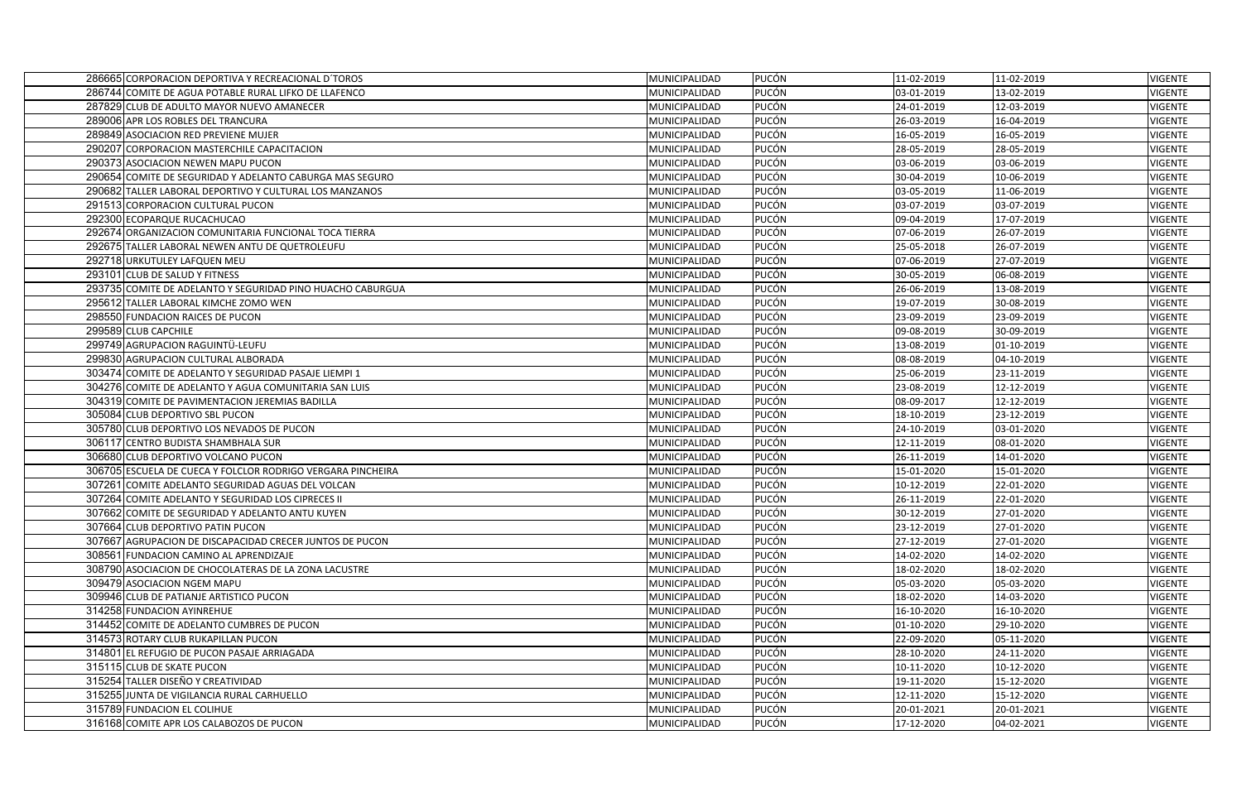| 286665 CORPORACION DEPORTIVA Y RECREACIONAL D'TOROS         | MUNICIPALIDAD | <b>PUCÓN</b> | 11-02-2019 | 11-02-2019 | <b>VIGENTE</b> |
|-------------------------------------------------------------|---------------|--------------|------------|------------|----------------|
| 286744 COMITE DE AGUA POTABLE RURAL LIFKO DE LLAFENCO       | MUNICIPALIDAD | PUCÓN        | 03-01-2019 | 13-02-2019 | <b>VIGENTE</b> |
| 287829 CLUB DE ADULTO MAYOR NUEVO AMANECER                  | MUNICIPALIDAD | PUCÓN        | 24-01-2019 | 12-03-2019 | VIGENTE        |
| 289006 APR LOS ROBLES DEL TRANCURA                          | MUNICIPALIDAD | <b>PUCÓN</b> | 26-03-2019 | 16-04-2019 | <b>VIGENTE</b> |
| 289849 ASOCIACION RED PREVIENE MUJER                        | MUNICIPALIDAD | <b>PUCÓN</b> | 16-05-2019 | 16-05-2019 | VIGENTE        |
| 290207 CORPORACION MASTERCHILE CAPACITACION                 | MUNICIPALIDAD | <b>PUCÓN</b> | 28-05-2019 | 28-05-2019 | <b>VIGENTE</b> |
| 290373 ASOCIACION NEWEN MAPU PUCON                          | MUNICIPALIDAD | PUCÓN        | 03-06-2019 | 03-06-2019 | VIGENTE        |
| 290654 COMITE DE SEGURIDAD Y ADELANTO CABURGA MAS SEGURO    | MUNICIPALIDAD | PUCÓN        | 30-04-2019 | 10-06-2019 | <b>VIGENTE</b> |
| 290682 TALLER LABORAL DEPORTIVO Y CULTURAL LOS MANZANOS     | MUNICIPALIDAD | PUCÓN        | 03-05-2019 | 11-06-2019 | VIGENTE        |
| 291513 CORPORACION CULTURAL PUCON                           | MUNICIPALIDAD | <b>PUCÓN</b> | 03-07-2019 | 03-07-2019 | <b>VIGENTE</b> |
| 292300 ECOPARQUE RUCACHUCAO                                 | MUNICIPALIDAD | <b>PUCÓN</b> | 09-04-2019 | 17-07-2019 | VIGENTE        |
| 292674 ORGANIZACION COMUNITARIA FUNCIONAL TOCA TIERRA       | MUNICIPALIDAD | PUCÓN        | 07-06-2019 | 26-07-2019 | <b>VIGENTE</b> |
| 292675 TALLER LABORAL NEWEN ANTU DE QUETROLEUFU             | MUNICIPALIDAD | PUCÓN        | 25-05-2018 | 26-07-2019 | <b>VIGENTE</b> |
| 292718 URKUTULEY LAFQUEN MEU                                | MUNICIPALIDAD | <b>PUCÓN</b> | 07-06-2019 | 27-07-2019 | VIGENTE        |
| 293101 CLUB DE SALUD Y FITNESS                              | MUNICIPALIDAD | PUCÓN        | 30-05-2019 | 06-08-2019 | VIGENTE        |
| 293735 COMITE DE ADELANTO Y SEGURIDAD PINO HUACHO CABURGUA  | MUNICIPALIDAD | <b>PUCÓN</b> | 26-06-2019 | 13-08-2019 | <b>VIGENTE</b> |
| 295612 TALLER LABORAL KIMCHE ZOMO WEN                       | MUNICIPALIDAD | <b>PUCÓN</b> | 19-07-2019 | 30-08-2019 | VIGENTE        |
| 298550 FUNDACION RAICES DE PUCON                            | MUNICIPALIDAD | PUCÓN        | 23-09-2019 | 23-09-2019 | <b>VIGENTE</b> |
| 299589 CLUB CAPCHILE                                        | MUNICIPALIDAD | PUCÓN        | 09-08-2019 | 30-09-2019 | VIGENTE        |
| 299749 AGRUPACION RAGUINTÜ-LEUFU                            | MUNICIPALIDAD | PUCÓN        | 13-08-2019 | 01-10-2019 | VIGENTE        |
| 299830 AGRUPACION CULTURAL ALBORADA                         | MUNICIPALIDAD | <b>PUCÓN</b> | 08-08-2019 | 04-10-2019 | VIGENTE        |
| 303474 COMITE DE ADELANTO Y SEGURIDAD PASAJE LIEMPI 1       | MUNICIPALIDAD | <b>PUCÓN</b> | 25-06-2019 | 23-11-2019 | <b>VIGENTE</b> |
| 304276 COMITE DE ADELANTO Y AGUA COMUNITARIA SAN LUIS       | MUNICIPALIDAD | PUCÓN        | 23-08-2019 | 12-12-2019 | <b>VIGENTE</b> |
| 304319 COMITE DE PAVIMENTACION JEREMIAS BADILLA             | MUNICIPALIDAD | PUCÓN        | 08-09-2017 | 12-12-2019 | <b>VIGENTE</b> |
| 305084 CLUB DEPORTIVO SBL PUCON                             | MUNICIPALIDAD | PUCÓN        | 18-10-2019 | 23-12-2019 | <b>VIGENTE</b> |
| 305780 CLUB DEPORTIVO LOS NEVADOS DE PUCON                  | MUNICIPALIDAD | <b>PUCÓN</b> | 24-10-2019 | 03-01-2020 | <b>VIGENTE</b> |
| 306117 CENTRO BUDISTA SHAMBHALA SUR                         | MUNICIPALIDAD | <b>PUCÓN</b> | 12-11-2019 | 08-01-2020 | <b>VIGENTE</b> |
| 306680 CLUB DEPORTIVO VOLCANO PUCON                         | MUNICIPALIDAD | <b>PUCÓN</b> | 26-11-2019 | 14-01-2020 | VIGENTE        |
| 306705 ESCUELA DE CUECA Y FOLCLOR RODRIGO VERGARA PINCHEIRA | MUNICIPALIDAD | PUCÓN        | 15-01-2020 | 15-01-2020 | <b>VIGENTE</b> |
| 307261 COMITE ADELANTO SEGURIDAD AGUAS DEL VOLCAN           | MUNICIPALIDAD | <b>PUCÓN</b> | 10-12-2019 | 22-01-2020 | VIGENTE        |
| 307264 COMITE ADELANTO Y SEGURIDAD LOS CIPRECES II          | MUNICIPALIDAD | PUCÓN        | 26-11-2019 | 22-01-2020 | VIGENTE        |
| 307662 COMITE DE SEGURIDAD Y ADELANTO ANTU KUYEN            | MUNICIPALIDAD | <b>PUCÓN</b> | 30-12-2019 | 27-01-2020 | <b>VIGENTE</b> |
| 307664 CLUB DEPORTIVO PATIN PUCON                           | MUNICIPALIDAD | <b>PUCÓN</b> | 23-12-2019 | 27-01-2020 | <b>VIGENTE</b> |
| 307667 AGRUPACION DE DISCAPACIDAD CRECER JUNTOS DE PUCON    | MUNICIPALIDAD | PUCÓN        | 27-12-2019 | 27-01-2020 | VIGENTE        |
| 308561 FUNDACION CAMINO AL APRENDIZAJE                      | MUNICIPALIDAD | PUCÓN        | 14-02-2020 | 14-02-2020 | VIGENTE        |
| 308790 ASOCIACION DE CHOCOLATERAS DE LA ZONA LACUSTRE       | MUNICIPALIDAD | <b>PUCÓN</b> | 18-02-2020 | 18-02-2020 | VIGENTE        |
| 309479 ASOCIACION NGEM MAPU                                 | MUNICIPALIDAD | <b>PUCÓN</b> | 05-03-2020 | 05-03-2020 | VIGENTE        |
| 309946 CLUB DE PATIANJE ARTISTICO PUCON                     | MUNICIPALIDAD | <b>PUCÓN</b> | 18-02-2020 | 14-03-2020 | <b>VIGENTE</b> |
| 314258 FUNDACION AYINREHUE                                  | MUNICIPALIDAD | <b>PUCÓN</b> | 16-10-2020 | 16-10-2020 | VIGENTE        |
| 314452 COMITE DE ADELANTO CUMBRES DE PUCON                  | MUNICIPALIDAD | PUCÓN        | 01-10-2020 | 29-10-2020 | <b>VIGENTE</b> |
| 314573 ROTARY CLUB RUKAPILLAN PUCON                         | MUNICIPALIDAD | PUCÓN        | 22-09-2020 | 05-11-2020 | VIGENTE        |
| 314801 EL REFUGIO DE PUCON PASAJE ARRIAGADA                 | MUNICIPALIDAD | PUCÓN        | 28-10-2020 | 24-11-2020 | <b>VIGENTE</b> |
| 315115 CLUB DE SKATE PUCON                                  | MUNICIPALIDAD | <b>PUCÓN</b> | 10-11-2020 | 10-12-2020 | <b>VIGENTE</b> |
| 315254 TALLER DISEÑO Y CREATIVIDAD                          | MUNICIPALIDAD | <b>PUCÓN</b> | 19-11-2020 | 15-12-2020 | VIGENTE        |
| 315255 JUNTA DE VIGILANCIA RURAL CARHUELLO                  | MUNICIPALIDAD | PUCÓN        | 12-11-2020 | 15-12-2020 | <b>VIGENTE</b> |
| 315789 FUNDACION EL COLIHUE                                 | MUNICIPALIDAD | PUCÓN        | 20-01-2021 | 20-01-2021 | <b>VIGENTE</b> |
| 316168 COMITE APR LOS CALABOZOS DE PUCON                    | MUNICIPALIDAD | PUCÓN        | 17-12-2020 | 04-02-2021 | <b>VIGENTE</b> |